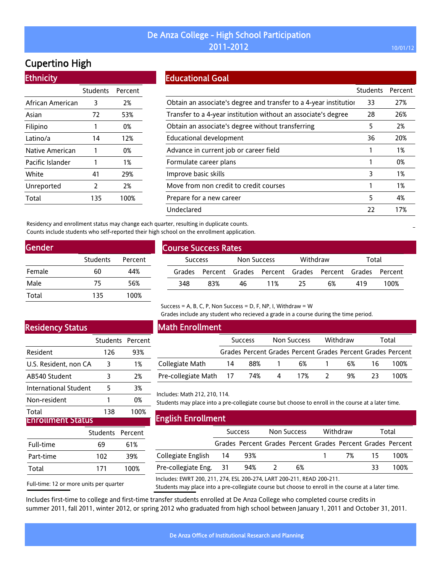# Cupertino High

### **Ethnicity**

|                  | Students | Percent |
|------------------|----------|---------|
| African American | 3        | 2%      |
| Asian            | 72       | 53%     |
| Filipino         | 1        | 0%      |
| Latino/a         | 14       | 12%     |
| Native American  | 1        | 0%      |
| Pacific Islander | 1        | 1%      |
| White            | 41       | 29%     |
| Unreported       | 2        | 2%      |
| Total            | 135      | 100%    |

### Educational Goal

|                                                                   | <b>Students</b> | Percent |
|-------------------------------------------------------------------|-----------------|---------|
| Obtain an associate's degree and transfer to a 4-year institution | 33              | 27%     |
| Transfer to a 4-year institution without an associate's degree    | 28              | 26%     |
| Obtain an associate's degree without transferring                 | 5               | 2%      |
| Educational development                                           | 36              | 20%     |
| Advance in current job or career field                            |                 | 1%      |
| Formulate career plans                                            |                 | 0%      |
| Improve basic skills                                              | 3               | 1%      |
| Move from non credit to credit courses                            |                 | 1%      |
| Prepare for a new career                                          | 5               | 4%      |
| Undeclared                                                        | 22              | 17%     |

Residency and enrollment status may change each quarter, resulting in duplicate counts. Counts include students who self-reported their high school on the enrollment application.

| Gender |                 |         |
|--------|-----------------|---------|
|        | <b>Students</b> | Percent |
| Female | 60              | 44%     |
| Male   | 75              | 56%     |
| Total  | 135             | 100%    |

| <b>Course Success Rates</b> |                |     |             |     |          |                                                             |       |      |  |
|-----------------------------|----------------|-----|-------------|-----|----------|-------------------------------------------------------------|-------|------|--|
|                             | <b>Success</b> |     | Non Success |     | Withdraw |                                                             | Total |      |  |
|                             |                |     |             |     |          | Grades Percent Grades Percent Grades Percent Grades Percent |       |      |  |
|                             | 348            | 83% | 46          | 11% | 25       | 6%                                                          | 419   | 100% |  |

## Residency Status

|                       | Students Percent |      |
|-----------------------|------------------|------|
| Resident              | 126              | 93%  |
| U.S. Resident, non CA | 3                | 1%   |
| AB540 Student         | 3                | 2%   |
| International Student | 5                | 3%   |
| Non-resident          |                  | 0%   |
| Total                 | 138              | 100% |
| irollment Status      |                  |      |

|           | Students Percent |      |
|-----------|------------------|------|
| Full-time | 69               | 61%  |
| Part-time | 102              | 39%  |
| Total     | 171              | 100% |
|           |                  |      |

Full-time: 12 or more units per quarter

### Math Enrollment

|                            | <b>Success</b> |       | Non Success |                                                             | Withdraw |    | Total |      |
|----------------------------|----------------|-------|-------------|-------------------------------------------------------------|----------|----|-------|------|
|                            |                |       |             | Grades Percent Grades Percent Grades Percent Grades Percent |          |    |       |      |
| Collegiate Math            | -14            | 88% 1 |             | 6%                                                          |          | 6% | -16   | 100% |
| Pre-collegiate Math 17 74% |                |       | $\sim$ 4    | 17%                                                         |          | 9% | -23   | 100% |

Grades include any student who recieved a grade in a course during the time period.

Includes: Math 212, 210, 114.

Students may place into a pre-collegiate course but choose to enroll in the course at a later time.

| <b>English Enrollment</b>                                              |      |                |             |                                                             |          |    |       |      |  |  |
|------------------------------------------------------------------------|------|----------------|-------------|-------------------------------------------------------------|----------|----|-------|------|--|--|
|                                                                        |      | <b>Success</b> | Non Success |                                                             | Withdraw |    | Total |      |  |  |
|                                                                        |      |                |             | Grades Percent Grades Percent Grades Percent Grades Percent |          |    |       |      |  |  |
| Collegiate English                                                     | - 14 | 93%            |             |                                                             |          | 7% | 15    | 100% |  |  |
| Pre-collegiate Eng. 31                                                 |      | 94%            |             | 6%                                                          |          |    | 33    | 100% |  |  |
| Includes: EWRT 200, 211, 274, ESL 200-274, LART 200-211, READ 200-211. |      |                |             |                                                             |          |    |       |      |  |  |

Students may place into a pre-collegiate course but choose to enroll in the course at a later time.

Includes first-time to college and first-time transfer students enrolled at De Anza College who completed course credits in summer 2011, fall 2011, winter 2012, or spring 2012 who graduated from high school between January 1, 2011 and October 31, 2011.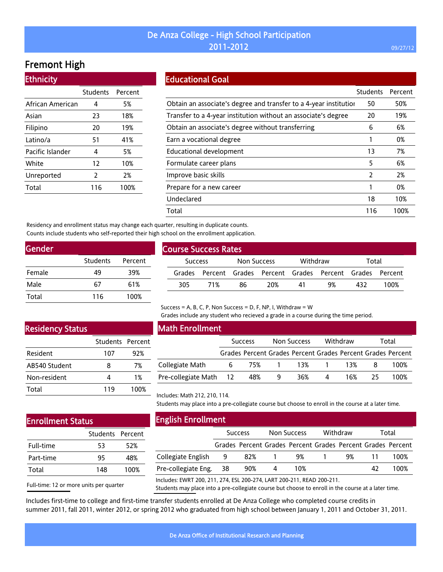# Fremont High

Ethnicity

| Students | Percent |
|----------|---------|
| 4        | 5%      |
| 23       | 18%     |
| 20       | 19%     |
| 51       | 41%     |
| 4        | 5%      |
| 12       | 10%     |
| 2        | 2%      |
| 116      | 100%    |
|          |         |

### Educational Goal

|                                                                   | <b>Students</b> | Percent |
|-------------------------------------------------------------------|-----------------|---------|
| Obtain an associate's degree and transfer to a 4-year institution | 50              | 50%     |
| Transfer to a 4-year institution without an associate's degree    | 20              | 19%     |
| Obtain an associate's degree without transferring                 | 6               | 6%      |
| Earn a vocational degree                                          |                 | 0%      |
| <b>Educational development</b>                                    | 13              | 7%      |
| Formulate career plans                                            | 5               | 6%      |
| Improve basic skills                                              | $\mathcal{P}$   | 2%      |
| Prepare for a new career                                          |                 | 0%      |
| Undeclared                                                        | 18              | 10%     |
| Total                                                             | 116             | 100%    |

Residency and enrollment status may change each quarter, resulting in duplicate counts. Counts include students who self-reported their high school on the enrollment application.

| Gender |                 |         |
|--------|-----------------|---------|
|        | <b>Students</b> | Percent |
| Female | 49              | 39%     |
| Male   | 67              | 61%     |
| Total  | 116             | 100%    |
|        |                 |         |

| <b>Course Success Rates</b> |                |     |             |     |          |                                                             |       |      |  |
|-----------------------------|----------------|-----|-------------|-----|----------|-------------------------------------------------------------|-------|------|--|
|                             | <b>Success</b> |     | Non Success |     | Withdraw |                                                             | Total |      |  |
|                             |                |     |             |     |          | Grades Percent Grades Percent Grades Percent Grades Percent |       |      |  |
|                             | 305            | 71% | 86          | 20% | 41       | 9%                                                          | 432   | 100% |  |
|                             |                |     |             |     |          |                                                             |       |      |  |

### Success = A, B, C, P, Non Success = D, F, NP, I, Withdraw =  $W$

Grades include any student who recieved a grade in a course during the time period.

## Residency Status

|               | Students Percent |      |
|---------------|------------------|------|
| Resident      | 107              | 92%  |
| AB540 Student | 8                | 7%   |
| Non-resident  |                  | 1%   |
| Total         | 119              | 100% |

### Math Enrollment

|                        | <b>Success</b> |     | Non Success |       | Withdraw |     | Total |                                                             |
|------------------------|----------------|-----|-------------|-------|----------|-----|-------|-------------------------------------------------------------|
|                        |                |     |             |       |          |     |       | Grades Percent Grades Percent Grades Percent Grades Percent |
| Collegiate Math        | 6              |     | 75% 1       | 13% 1 |          | 13% |       | 100%                                                        |
| Pre-collegiate Math 12 |                | 48% | -9          | 36%   | 4        | 16% | 25.   | 100%                                                        |

## Enrollment Status

|           | Students Percent |      |
|-----------|------------------|------|
| Full-time | 53               | 52%  |
| Part-time | 95               | 48%  |
| Total     | 148              | 100% |

| <b>English Enrollment</b> |  |  |
|---------------------------|--|--|
|---------------------------|--|--|

Includes: Math 212, 210, 114.

| EIIKUSII EHI OUIHEHU                                                   |                |                                                             |                    |     |          |    |       |      |  |
|------------------------------------------------------------------------|----------------|-------------------------------------------------------------|--------------------|-----|----------|----|-------|------|--|
|                                                                        | <b>Success</b> |                                                             | <b>Non Success</b> |     | Withdraw |    | Total |      |  |
|                                                                        |                | Grades Percent Grades Percent Grades Percent Grades Percent |                    |     |          |    |       |      |  |
| Collegiate English                                                     | -9             | 82%                                                         | -1                 | 9%  |          | 9% |       | 100% |  |
| Pre-collegiate Eng.                                                    | 38             | 90%                                                         | 4                  | 10% |          |    | 42    | 100% |  |
| Includes: EWRT 200, 211, 274, ESL 200-274, LART 200-211, READ 200-211. |                |                                                             |                    |     |          |    |       |      |  |

Students may place into a pre-collegiate course but choose to enroll in the course at a later time.

Full-time: 12 or more units per quarter

Includes: EWRT 200, 211, 274, ESL 200-274, LART 200-211, READ 200-211.

Students may place into a pre-collegiate course but choose to enroll in the course at a later time.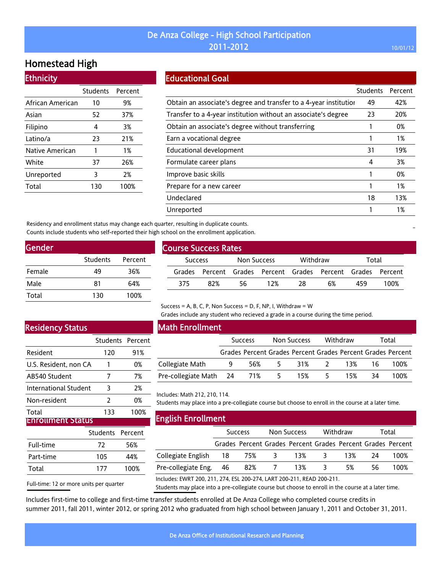## Homestead High

### **Ethnicity**

|                  | Students Percent |      |
|------------------|------------------|------|
| African American | 10               | 9%   |
| Asian            | 52               | 37%  |
| Filipino         | 4                | 3%   |
| Latino/a         | 23               | 21%  |
| Native American  | 1                | 1%   |
| White            | 37               | 26%  |
| Unreported       | 3                | 2%   |
| Total            | 130              | 100% |

## Educational Goal

|                                                                   | <b>Students</b> | Percent |
|-------------------------------------------------------------------|-----------------|---------|
| Obtain an associate's degree and transfer to a 4-year institution | 49              | 42%     |
| Transfer to a 4-year institution without an associate's degree    | 23              | 20%     |
| Obtain an associate's degree without transferring                 |                 | 0%      |
| Earn a vocational degree                                          |                 | 1%      |
| Educational development                                           | 31              | 19%     |
| Formulate career plans                                            | 4               | 3%      |
| Improve basic skills                                              |                 | 0%      |
| Prepare for a new career                                          |                 | 1%      |
| Undeclared                                                        | 18              | 13%     |
| Unreported                                                        |                 | 1%      |
|                                                                   |                 |         |

Residency and enrollment status may change each quarter, resulting in duplicate counts. Counts include students who self-reported their high school on the enrollment application.

| Students | Percent |
|----------|---------|
| 49       | 36%     |
| 81       | 64%     |
| 130      | 100%    |
|          |         |

|                | <b>Course Success Rates</b> |     |             |     |          |                                                             |       |      |  |  |
|----------------|-----------------------------|-----|-------------|-----|----------|-------------------------------------------------------------|-------|------|--|--|
| <b>Success</b> |                             |     | Non Success |     | Withdraw |                                                             | Total |      |  |  |
|                |                             |     |             |     |          | Grades Percent Grades Percent Grades Percent Grades Percent |       |      |  |  |
|                | 375                         | 82% | 56          | 12% | 28       | 6%                                                          | 459   | 100% |  |  |
|                |                             |     |             |     |          |                                                             |       |      |  |  |

## Residency Status

|                       | Students Percent |      |
|-----------------------|------------------|------|
| Resident              | 120              | 91%  |
| U.S. Resident, non CA |                  | 0%   |
| AB540 Student         |                  | 7%   |
| International Student | 3                | 2%   |
| Non-resident          | 2                | 0%   |
| Total                 | 133              | 100% |
| IEnrollment Status    |                  |      |

| ------------------- |                  |  |  |  |  |  |
|---------------------|------------------|--|--|--|--|--|
|                     |                  |  |  |  |  |  |
| 72                  | 56%              |  |  |  |  |  |
| 105                 | 44%              |  |  |  |  |  |
| 177                 | 100%             |  |  |  |  |  |
|                     | Students Percent |  |  |  |  |  |

Full-time: 12 or more units per quarter

### Math Enrollment

|                              | <b>Success</b> |     |                | Withdraw<br>Non Success |    | Total     |      |                                                             |
|------------------------------|----------------|-----|----------------|-------------------------|----|-----------|------|-------------------------------------------------------------|
|                              |                |     |                |                         |    |           |      | Grades Percent Grades Percent Grades Percent Grades Percent |
| Collegiate Math              | 9              | 56% | 5 <sub>5</sub> |                         |    | 31% 2 13% | - 16 | 100%                                                        |
| Pre-collegiate Math 24 71% 5 |                |     |                | 15%                     | 5. | 15%       | 34   | 100%                                                        |
|                              |                |     |                |                         |    |           |      |                                                             |

Grades include any student who recieved a grade in a course during the time period.

Includes: Math 212, 210, 114.

Students may place into a pre-collegiate course but choose to enroll in the course at a later time.

| <b>English Enrollment</b> |  |
|---------------------------|--|
|                           |  |

|                                                                        |  | <b>Success</b> | Non Success |                                                             | Withdraw                |     | Total |      |
|------------------------------------------------------------------------|--|----------------|-------------|-------------------------------------------------------------|-------------------------|-----|-------|------|
|                                                                        |  |                |             | Grades Percent Grades Percent Grades Percent Grades Percent |                         |     |       |      |
| Collegiate English 18                                                  |  | 75% 3          |             | 13% 3                                                       |                         | 13% | 24    | 100% |
| Pre-collegiate Eng. 46                                                 |  |                | 82% 7 13%   |                                                             | $\overline{\mathbf{3}}$ | 5%  | 56    | 100% |
| Includes: EWRT 200, 211, 274, ESL 200-274, LART 200-211, READ 200-211. |  |                |             |                                                             |                         |     |       |      |

Students may place into a pre-collegiate course but choose to enroll in the course at a later time.

Includes first-time to college and first-time transfer students enrolled at De Anza College who completed course credits in summer 2011, fall 2011, winter 2012, or spring 2012 who graduated from high school between January 1, 2011 and October 31, 2011.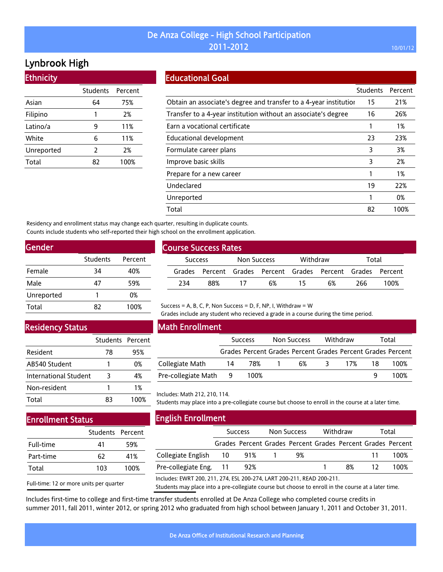# Lynbrook High

**Ethnicity** 

|            | Students Percent |      |
|------------|------------------|------|
| Asian      | 64               | 75%  |
| Filipino   | 1                | 2%   |
| Latino/a   | 9                | 11%  |
| White      | 6                | 11%  |
| Unreported | 2                | 2%   |
| Total      | 87               | 100% |

## Educational Goal

|                                                                   | <b>Students</b> | Percent |
|-------------------------------------------------------------------|-----------------|---------|
| Obtain an associate's degree and transfer to a 4-year institution | 15              | 21%     |
| Transfer to a 4-year institution without an associate's degree    | 16              | 26%     |
| Earn a vocational certificate                                     |                 | 1%      |
| Educational development                                           | 23              | 23%     |
| Formulate career plans                                            | 3               | 3%      |
| Improve basic skills                                              | 3               | 2%      |
| Prepare for a new career                                          |                 | 1%      |
| Undeclared                                                        | 19              | 22%     |
| Unreported                                                        |                 | 0%      |
| Total                                                             | 82              | 100%    |

Residency and enrollment status may change each quarter, resulting in duplicate counts. Counts include students who self-reported their high school on the enrollment application.

| <b>Gender</b> |          |         |
|---------------|----------|---------|
|               | Students | Percent |
| Female        | 34       | 40%     |
| Male          | 47       | 59%     |
| Unreported    | 1        | 0%      |
| Total         | 82       | 100%    |

### Residency Status

|                       | Students Percent |      |
|-----------------------|------------------|------|
| Resident              | 78               | 95%  |
| AB540 Student         | Ί                | 0%   |
| International Student | 3                | 4%   |
| Non-resident          |                  | 1%   |
| Total                 | 83               | 100% |

## Enrollment Status

|           | Students Percent |      |
|-----------|------------------|------|
| Full-time | 41               | 59%  |
| Part-time | 62               | 41%  |
| Total     | 103              | 100% |

Full-time: 12 or more units per quarter

| <b>Course Success Rates</b> |     |             |    |          |                                                             |       |      |  |
|-----------------------------|-----|-------------|----|----------|-------------------------------------------------------------|-------|------|--|
| <b>Success</b>              |     | Non Success |    | Withdraw |                                                             | Total |      |  |
|                             |     |             |    |          | Grades Percent Grades Percent Grades Percent Grades Percent |       |      |  |
| 234                         | 88% | 17          | 6% | 15       | 6%                                                          | 266   | 100% |  |
|                             |     |             |    |          |                                                             |       |      |  |

#### Success = A, B, C, P, Non Success = D, F, NP, I, Withdraw = W

Grades include any student who recieved a grade in a course during the time period.

### Math Enrollment

|                       | <b>Success</b> |      | Non Success |                                                             | Withdraw |    | Total |  |
|-----------------------|----------------|------|-------------|-------------------------------------------------------------|----------|----|-------|--|
|                       |                |      |             | Grades Percent Grades Percent Grades Percent Grades Percent |          |    |       |  |
| Collegiate Math       | 14             | 78%  |             | 6%                                                          | 17%      | 18 | 100%  |  |
| Pre-collegiate Math 9 |                | 100% |             |                                                             |          |    | 100%  |  |

#### Includes: Math 212, 210, 114.

Students may place into a pre-collegiate course but choose to enroll in the course at a later time.

| <b>English Enrollment</b>                                                |     |                |  |                    |  |          |    |                                                             |
|--------------------------------------------------------------------------|-----|----------------|--|--------------------|--|----------|----|-------------------------------------------------------------|
|                                                                          |     | <b>Success</b> |  | <b>Non Success</b> |  | Withdraw |    | Total                                                       |
|                                                                          |     |                |  |                    |  |          |    | Grades Percent Grades Percent Grades Percent Grades Percent |
| Collegiate English 10                                                    |     | 91%            |  | 9%                 |  |          | 11 | 100%                                                        |
| Pre-collegiate Eng.                                                      | -11 | 92%            |  |                    |  | 8%       | 12 | 100%                                                        |
| <u> Includes: EWDT 200 211 274 ESL 200 274 LADT 200 211 DEAD 200 211</u> |     |                |  |                    |  |          |    |                                                             |

Includes: EWRT 200, 211, 274, ESL 200-274, LART 200-211, READ 200-211.

Students may place into a pre-collegiate course but choose to enroll in the course at a later time.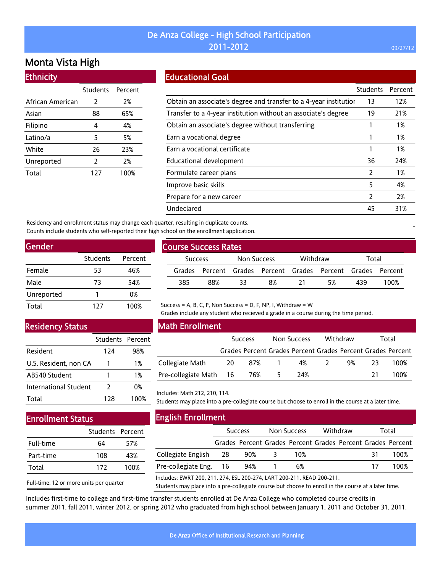## Monta Vista High

### **Ethnicity**

|                  | Students      | Percent |
|------------------|---------------|---------|
| African American | 2             | 2%      |
| Asian            | 88            | 65%     |
| Filipino         | 4             | 4%      |
| Latino/a         | 5             | 5%      |
| White            | 26            | 23%     |
| Unreported       | $\mathcal{P}$ | 2%      |
| Total            | 127           | 100%    |

### Educational Goal

|                                                                   | <b>Students</b> | Percent |
|-------------------------------------------------------------------|-----------------|---------|
| Obtain an associate's degree and transfer to a 4-year institution | 13              | 12%     |
| Transfer to a 4-year institution without an associate's degree    | 19              | 21%     |
| Obtain an associate's degree without transferring                 |                 | 1%      |
| Earn a vocational degree                                          |                 | 1%      |
| Earn a vocational certificate                                     |                 | 1%      |
| Educational development                                           | 36              | 24%     |
| Formulate career plans                                            | 2               | 1%      |
| Improve basic skills                                              | 5               | 4%      |
| Prepare for a new career                                          | 2               | 2%      |
| Undeclared                                                        | 45              | 31%     |

Residency and enrollment status may change each quarter, resulting in duplicate counts. Counts include students who self-reported their high school on the enrollment application.

| Gender     |          |         |  |  |  |  |  |
|------------|----------|---------|--|--|--|--|--|
|            | Students | Percent |  |  |  |  |  |
| Female     | 53       | 46%     |  |  |  |  |  |
| Male       | 73       | 54%     |  |  |  |  |  |
| Unreported |          | 0%      |  |  |  |  |  |
| Total      | 127      | 100%    |  |  |  |  |  |

| <b>Course Success Rates</b> |                |     |             |    |          |                                                             |       |      |  |
|-----------------------------|----------------|-----|-------------|----|----------|-------------------------------------------------------------|-------|------|--|
|                             | <b>Success</b> |     | Non Success |    | Withdraw |                                                             | Total |      |  |
|                             |                |     |             |    |          | Grades Percent Grades Percent Grades Percent Grades Percent |       |      |  |
|                             | 385            | 88% | 33          | 8% | -21      | .5%                                                         | 439   | 100% |  |

### Residency Status

|                       | Students Percent |      |
|-----------------------|------------------|------|
| Resident              | 124              | 98%  |
| U.S. Resident, non CA |                  | 1%   |
| AB540 Student         |                  | 1%   |
| International Student | $\mathcal{L}$    | 0%   |
| Total                 | 178              | 1በበ% |

## Enrollment Status

|           | Students Percent |      |
|-----------|------------------|------|
| Full-time | 64               | 57%  |
| Part-time | 108              | 43%  |
| Total     | 172              | 100% |

Full-time: 12 or more units per quarter

### Math Enrollment

|                        | <b>Success</b> |     | Non Success |                                                             | Withdraw |    | Total |      |
|------------------------|----------------|-----|-------------|-------------------------------------------------------------|----------|----|-------|------|
|                        |                |     |             | Grades Percent Grades Percent Grades Percent Grades Percent |          |    |       |      |
| Collegiate Math        | 20             | 87% |             | 4%                                                          |          | 9% | 23    | 100% |
| Pre-collegiate Math 16 |                | 76% |             | 24%                                                         |          |    | 21    | 100% |

Grades include any student who recieved a grade in a course during the time period.

#### Includes: Math 212, 210, 114.

Students may place into a pre-collegiate course but choose to enroll in the course at a later time.

| <b>English Enrollment</b>                                        |                |     |  |                                                             |  |          |    |       |  |  |
|------------------------------------------------------------------|----------------|-----|--|-------------------------------------------------------------|--|----------|----|-------|--|--|
|                                                                  | <b>Success</b> |     |  | <b>Non Success</b>                                          |  | Withdraw |    | Total |  |  |
|                                                                  |                |     |  | Grades Percent Grades Percent Grades Percent Grades Percent |  |          |    |       |  |  |
| Collegiate English                                               | 28             | 90% |  | 10%                                                         |  |          | 31 | 100%  |  |  |
| Pre-collegiate Eng.                                              | 16             | 94% |  | 6%                                                          |  |          |    | 100%  |  |  |
| Includes: FWRT 200 211 274 FSL 200-274 LART 200-211 READ 200-211 |                |     |  |                                                             |  |          |    |       |  |  |

Includes: EWRT 200, 211, 274, ESL 200-274, LART 200-211, READ 200-211. Students may place into a pre-collegiate course but choose to enroll in the course at a later time.

Includes first-time to college and first-time transfer students enrolled at De Anza College who completed course credits in summer 2011, fall 2011, winter 2012, or spring 2012 who graduated from high school between January 1, 2011 and October 31, 2011.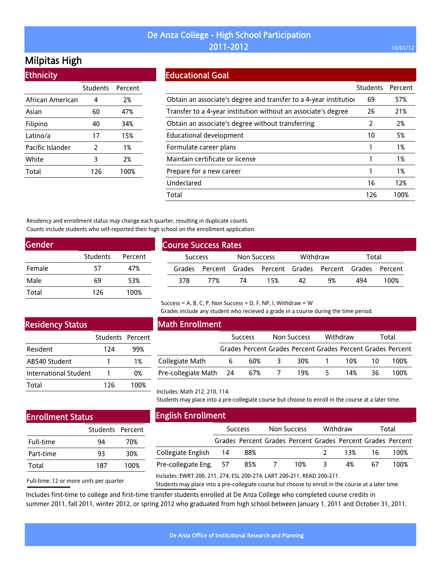# Milpitas High

Ethnicity

| LUMICIU          |                 |         |
|------------------|-----------------|---------|
|                  | <b>Students</b> | Percent |
| African American | 4               | 2%      |
| Asian            | 60              | 47%     |
| Filipino         | 40              | 34%     |
| Latino/a         | 17              | 15%     |
| Pacific Islander | 2               | 1%      |
| White            | 3               | 2%      |
| Total            | 126             | 100%    |
|                  |                 |         |

### Educational Goal

|                                                                   | Students | Percent |
|-------------------------------------------------------------------|----------|---------|
| Obtain an associate's degree and transfer to a 4-year institution | 69       | 57%     |
| Transfer to a 4-year institution without an associate's degree    | 26       | 21%     |
| Obtain an associate's degree without transferring                 | 2        | 2%      |
| Educational development                                           | 10       | 5%      |
| Formulate career plans                                            |          | 1%      |
| Maintain certificate or license                                   |          | 1%      |
| Prepare for a new career                                          |          | 1%      |
| Undeclared                                                        | 16       | 12%     |
| Total                                                             | 126      | 100%    |

Residency and enrollment status may change each quarter, resulting in duplicate counts. Counts include students who self-reported their high school on the enrollment application.

| <b>Gender</b> |                 |         |
|---------------|-----------------|---------|
|               | <b>Students</b> | Percent |
| Female        | 57              | 47%     |
| Male          | 69              | 53%     |
| Total         | 126             | 100%    |

| <b>Course Success Rates</b> |                |     |             |                                                             |          |    |       |      |  |
|-----------------------------|----------------|-----|-------------|-------------------------------------------------------------|----------|----|-------|------|--|
|                             | <b>Success</b> |     | Non Success |                                                             | Withdraw |    | Total |      |  |
|                             |                |     |             | Grades Percent Grades Percent Grades Percent Grades Percent |          |    |       |      |  |
|                             | 378            | 77% | 74          | 15%                                                         | 42       | 9% | 494   | 100% |  |

#### Success = A, B, C, P, Non Success = D, F, NP, I, Withdraw =  $W$

Grades include any student who recieved a grade in a course during the time period.

### Residency Status

|                              | Students Percent |      |
|------------------------------|------------------|------|
| <b>Resident</b>              | 124              | 99%  |
| AB540 Student                |                  | 1%   |
| <b>International Student</b> |                  | 0%   |
| Total                        | 126              | 100% |

#### Math Enrollment

|                        | <b>Success</b> |     | Non Success |                                                             | Withdraw |     | Total |      |
|------------------------|----------------|-----|-------------|-------------------------------------------------------------|----------|-----|-------|------|
|                        |                |     |             | Grades Percent Grades Percent Grades Percent Grades Percent |          |     |       |      |
| Collegiate Math        | b              | 60% |             | 30%                                                         |          | 10% | 10    | 100% |
| Pre-collegiate Math 24 |                | 67% |             | 19%                                                         | ∽        | 14% | 36    | 100% |

Includes: Math 212, 210, 114.

Students may place into a pre-collegiate course but choose to enroll in the course at a later time.

## Enrollment Status

|           | Students Percent |      |
|-----------|------------------|------|
| Full-time | 94               | 70%  |
| Part-time | 93               | 30%  |
| Total     | 187              | 100% |

Full-time: 12 or more units per quarter

English Enrollment

|                        | <b>Success</b> |                                                             | Non Success   |     | Withdraw      |    | Total  |      |
|------------------------|----------------|-------------------------------------------------------------|---------------|-----|---------------|----|--------|------|
|                        |                | Grades Percent Grades Percent Grades Percent Grades Percent |               |     |               |    |        |      |
| Collegiate English 14  |                | 88%                                                         |               |     | $\mathcal{P}$ |    | 13% 16 | 100% |
| Pre-collegiate Eng. 57 |                | 85%                                                         | $\mathcal{L}$ | 10% | 3 F           | 4% | 67     | 100% |
|                        |                |                                                             |               |     |               |    |        |      |

Includes: EWRT 200, 211, 274, ESL 200-274, LART 200-211, READ 200-211.

Students may place into a pre-collegiate course but choose to enroll in the course at a later time.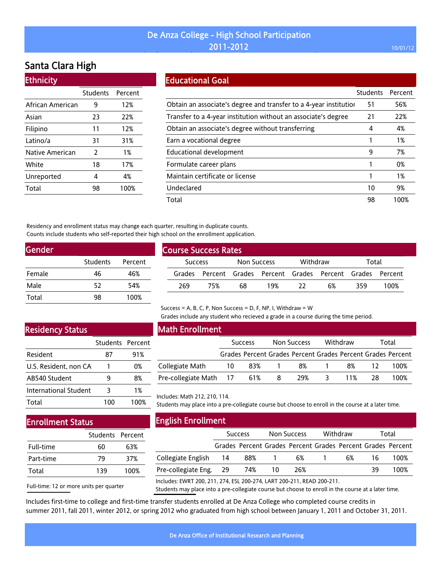## De Anza College - High School Participation  $2011$ –2012  $2012$  and  $2011$ –2012  $2012$  and  $201$  and  $201$  and  $201$  and  $201$

# Santa Clara High

| <b>Ethnicity</b> |                 |         |
|------------------|-----------------|---------|
|                  | <b>Students</b> | Percent |
| African American | 9               | 12%     |
| Asian            | 23              | 22%     |
| Filipino         | 11              | 12%     |
| Latino/a         | 31              | 31%     |
| Native American  | 2               | 1%      |
| White            | 18              | 17%     |
| Unreported       | 4               | 4%      |
| Total            | 98              | 100%    |

### Educational Goal

|                                                                   | <b>Students</b> | Percent |
|-------------------------------------------------------------------|-----------------|---------|
| Obtain an associate's degree and transfer to a 4-year institution | 51              | 56%     |
| Transfer to a 4-year institution without an associate's degree    | 21              | 22%     |
| Obtain an associate's degree without transferring                 | 4               | 4%      |
| Earn a vocational degree                                          |                 | 1%      |
| Educational development                                           | 9               | 7%      |
| Formulate career plans                                            |                 | 0%      |
| Maintain certificate or license                                   |                 | 1%      |
| Undeclared                                                        | 10              | 9%      |
| Total                                                             | 98              | 100%    |

Residency and enrollment status may change each quarter, resulting in duplicate counts. Counts include students who self-reported their high school on the enrollment application.

| Students | Percent |
|----------|---------|
| 46       | 46%     |
| 52       | 54%     |
| 98       | 100%    |
|          |         |

| <b>Course Success Rates</b> |                |     |             |     |          |                                                             |       |      |
|-----------------------------|----------------|-----|-------------|-----|----------|-------------------------------------------------------------|-------|------|
|                             | <b>Success</b> |     | Non Success |     | Withdraw |                                                             | Total |      |
|                             |                |     |             |     |          | Grades Percent Grades Percent Grades Percent Grades Percent |       |      |
|                             | 269            | 75% | 68          | 19% | -22      | 6%                                                          | 359   | 100% |

## Residency Status

|                       | Students Percent |     |
|-----------------------|------------------|-----|
| Resident              | 87               | 91% |
| U.S. Resident, non CA | 1                | 0%  |
| AB540 Student         |                  | 8%  |
| International Student | 3                | 1%  |
| Total                 |                  | በበ% |

## Math Enrollment

|                            | <b>Success</b> |     |   | Withdraw<br>Non Success                                     |  |     | Total |      |
|----------------------------|----------------|-----|---|-------------------------------------------------------------|--|-----|-------|------|
|                            |                |     |   | Grades Percent Grades Percent Grades Percent Grades Percent |  |     |       |      |
| Collegiate Math            | 10             | 83% |   | 8%                                                          |  | 8%  |       | 100% |
| Pre-collegiate Math 17 61% |                |     | 8 | 29%                                                         |  | 11% | 28    | 100% |

Grades include any student who recieved a grade in a course during the time period.

Includes: Math 212, 210, 114.

Students may place into a pre-collegiate course but choose to enroll in the course at a later time.

## Enrollment Status

|           | Students Percent |      |
|-----------|------------------|------|
| Full-time | 60               | 63%  |
| Part-time | 79               | 37%  |
| Total     | 139              | 100% |

Full-time: 12 or more units per quarter

English Enrollment

|                                                                        | <b>Success</b> |     |     | <b>Non Success</b> |  | Withdraw | Total |                                                             |
|------------------------------------------------------------------------|----------------|-----|-----|--------------------|--|----------|-------|-------------------------------------------------------------|
|                                                                        |                |     |     |                    |  |          |       | Grades Percent Grades Percent Grades Percent Grades Percent |
| Collegiate English                                                     | -14            | 88% |     | 6%                 |  | 6%       | 16.   | 100%                                                        |
| Pre-collegiate Eng.                                                    | -29            | 74% | -10 | 26%                |  |          | 39    | 100%                                                        |
| Includes: EWRT 200, 211, 274, ESL 200-274, LART 200-211, READ 200-211. |                |     |     |                    |  |          |       |                                                             |

Students may place into a pre-collegiate course but choose to enroll in the course at a later time.

Includes first-time to college and first-time transfer students enrolled at De Anza College who completed course credits in summer 2011, fall 2011, winter 2012, or spring 2012 who graduated from high school between January 1, 2011 and October 31, 2011.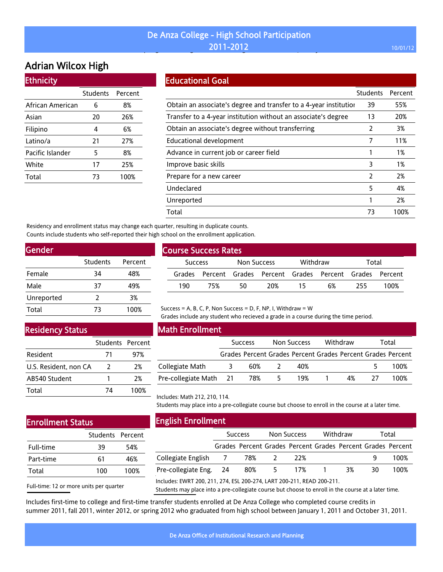# Adrian Wilcox High

| <b>Ethnicity</b> |                 |         |
|------------------|-----------------|---------|
|                  | <b>Students</b> | Percent |
| African American | 6               | 8%      |
| Asian            | 20              | 26%     |
| Filipino         | 4               | 6%      |
| Latino/a         | 21              | 27%     |
| Pacific Islander | 5               | 8%      |
| White            | 17              | 25%     |
| Total            | 73              | 100%    |

### Educational Goal

|                                                                   | <b>Students</b> | Percent |
|-------------------------------------------------------------------|-----------------|---------|
| Obtain an associate's degree and transfer to a 4-year institution | 39              | 55%     |
| Transfer to a 4-year institution without an associate's degree    | 13              | 20%     |
| Obtain an associate's degree without transferring                 | 2               | 3%      |
| Educational development                                           | 7               | 11%     |
| Advance in current job or career field                            |                 | 1%      |
| Improve basic skills                                              | 3               | 1%      |
| Prepare for a new career                                          | 2               | 2%      |
| Undeclared                                                        | 5               | 4%      |
| Unreported                                                        |                 | 2%      |
| Total                                                             | 73              | 100%    |

Residency and enrollment status may change each quarter, resulting in duplicate counts. Counts include students who self-reported their high school on the enrollment application.

| Gender   |         |  |  |  |  |  |  |
|----------|---------|--|--|--|--|--|--|
| Students | Percent |  |  |  |  |  |  |
| 34       | 48%     |  |  |  |  |  |  |
| 37       | 49%     |  |  |  |  |  |  |
| 2        | 3%      |  |  |  |  |  |  |
| 73       | 100%    |  |  |  |  |  |  |
|          |         |  |  |  |  |  |  |

### Residency Status

|                       | Students Percent |      |
|-----------------------|------------------|------|
| Resident              | 71               | 97%  |
| U.S. Resident, non CA | 2                | 2%   |
| AB540 Student         |                  | 2%   |
| Total                 | 74               | 100% |

## Math Enrollment

Course Success Rates

|                        | <b>Success</b> |     | Non Success |     | Withdraw |    | Total |                                                             |
|------------------------|----------------|-----|-------------|-----|----------|----|-------|-------------------------------------------------------------|
|                        |                |     |             |     |          |    |       | Grades Percent Grades Percent Grades Percent Grades Percent |
| Collegiate Math        | 3.             | 60% |             | 40% |          |    |       | 100%                                                        |
| Pre-collegiate Math 21 |                | 78% |             | 19% |          | 4% |       | 100%                                                        |

Success Non Success Withdraw Total Grades Percent Grades Percent Grades Percent Grades Percent 190 75% 50 20% 15 6% 255 100%

## Enrollment Status

|           | Students Percent |      |
|-----------|------------------|------|
| Full-time | 39               | 54%  |
| Part-time | 61               | 46%  |
| Total     | 100              | 100% |

Full-time: 12 or more units per quarter

Students may place into a pre-collegiate course but choose to enroll in the course at a later time.

Grades include any student who recieved a grade in a course during the time period.

Includes: Math 212, 210, 114.

|                                                                        | <b>Success</b> |     |    | <b>Non Success</b>                                          |  | Withdraw |    | Total |  |
|------------------------------------------------------------------------|----------------|-----|----|-------------------------------------------------------------|--|----------|----|-------|--|
|                                                                        |                |     |    | Grades Percent Grades Percent Grades Percent Grades Percent |  |          |    |       |  |
| Collegiate English 7                                                   |                | 78% |    | 22%                                                         |  |          | q  | 100%  |  |
| Pre-collegiate Eng. 24                                                 |                | 80% | 5. | 17%                                                         |  | 3%       | 30 | 100%  |  |
| Includes: EWRT 200, 211, 274, ESL 200-274, LART 200-211, READ 200-211. |                |     |    |                                                             |  |          |    |       |  |

Includes: EWRT 200, 211, 274, ESL 200-274, LART 200-211, READ 200-211.

Students may place into a pre-collegiate course but choose to enroll in the course at a later time.

Includes first-time to college and first-time transfer students enrolled at De Anza College who completed course credits in summer 2011, fall 2011, winter 2012, or spring 2012 who graduated from high school between January 1, 2011 and October 31, 2011.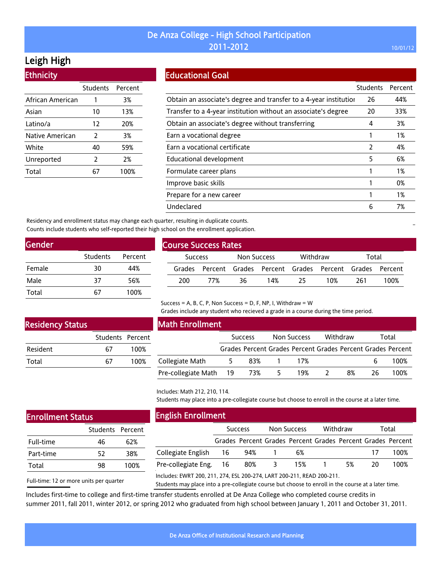## Leigh High

| Students Percent |      |
|------------------|------|
| 1                | 3%   |
| 10               | 13%  |
| 12               | 20%  |
| 2                | 3%   |
| 40               | 59%  |
| 2                | 2%   |
| 67               | 100% |
|                  |      |

### Educational Goal

|                                                                   | Students      | Percent |
|-------------------------------------------------------------------|---------------|---------|
| Obtain an associate's degree and transfer to a 4-year institution | 26            | 44%     |
| Transfer to a 4-year institution without an associate's degree    | 20            | 33%     |
| Obtain an associate's degree without transferring                 | 4             | 3%      |
| Earn a vocational degree                                          |               | 1%      |
| Earn a vocational certificate                                     | $\mathcal{P}$ | 4%      |
| Educational development                                           | 5             | 6%      |
| Formulate career plans                                            |               | $1\%$   |
| Improve basic skills                                              |               | 0%      |
| Prepare for a new career                                          |               | 1%      |
| Undeclared                                                        | 6             | 7%      |

Residency and enrollment status may change each quarter, resulting in duplicate counts. Counts include students who self-reported their high school on the enrollment application.

| Gender |                 |         |
|--------|-----------------|---------|
|        | <b>Students</b> | Percent |
| Female | 30              | 44%     |
| Male   | 37              | 56%     |
| Total  | 67              | 100%    |

| <b>Course Success Rates</b> |                |     |             |     |          |                                                             |       |      |  |  |
|-----------------------------|----------------|-----|-------------|-----|----------|-------------------------------------------------------------|-------|------|--|--|
|                             | <b>Success</b> |     | Non Success |     | Withdraw |                                                             | Total |      |  |  |
|                             |                |     |             |     |          | Grades Percent Grades Percent Grades Percent Grades Percent |       |      |  |  |
|                             | 200            | 77% | 36.         | 14% | 25.      | 10%                                                         | 261   | 100% |  |  |

#### Success = A, B, C, P, Non Success = D, F, NP, I, Withdraw =  $W$

Grades include any student who recieved a grade in a course during the time period.

### Residency Status

|                 | Students Percent |      |
|-----------------|------------------|------|
| <b>Resident</b> | 67               | 100% |
| Total           | 67               | 100% |

#### Math Enrollment

|                        | <b>Success</b> |     | Non Success |                                                             | Withdraw |    | Total |      |
|------------------------|----------------|-----|-------------|-------------------------------------------------------------|----------|----|-------|------|
|                        |                |     |             | Grades Percent Grades Percent Grades Percent Grades Percent |          |    |       |      |
| Collegiate Math        |                | 83% |             | 17%                                                         |          |    | h     | 100% |
| Pre-collegiate Math 19 |                | 73% | 5.          | 19%                                                         |          | 8% | 26    | 100% |

Includes: Math 212, 210, 114.

Students may place into a pre-collegiate course but choose to enroll in the course at a later time.

## Enrollment Status

|           | Students Percent |      |
|-----------|------------------|------|
| Full-time | 46               | 62%  |
| Part-time | 52               | 38%  |
| Total     | 98               | 100% |
|           |                  |      |

Full-time: 12 or more units per quarter

English Enrollment

|                        | <b>Success</b> |     |          | Non Success                                                 | Withdraw |    | Total |      |
|------------------------|----------------|-----|----------|-------------------------------------------------------------|----------|----|-------|------|
|                        |                |     |          | Grades Percent Grades Percent Grades Percent Grades Percent |          |    |       |      |
| Collegiate English 16  |                | 94% |          | 6%                                                          |          |    |       | 100% |
| Pre-collegiate Eng. 16 |                | 80% | $\sim$ 3 | 15%                                                         |          | 5% | 20.   | 100% |

Includes: EWRT 200, 211, 274, ESL 200-274, LART 200-211, READ 200-211.

Students may place into a pre-collegiate course but choose to enroll in the course at a later time.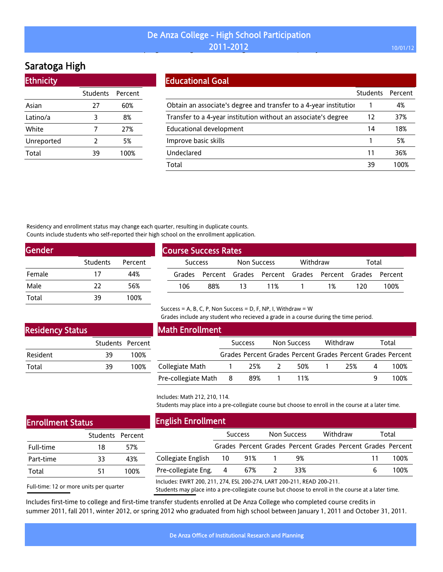# Saratoga High

| <b>Ethnicity</b> |                  |      |
|------------------|------------------|------|
|                  | Students Percent |      |
| Asian            | 27               | 60%  |
| Latino/a         | 3                | 8%   |
| White            | 7                | 27%  |
| Unreported       | 2                | 5%   |
| Total            | 39               | 100% |

| <b>Educational Goal</b>                                           |                 |         |
|-------------------------------------------------------------------|-----------------|---------|
|                                                                   | <b>Students</b> | Percent |
| Obtain an associate's degree and transfer to a 4-year institution |                 | 4%      |
| Transfer to a 4-year institution without an associate's degree    | 12              | 37%     |
| Educational development                                           | 14              | 18%     |
| Improve basic skills                                              |                 | 5%      |
| Undeclared                                                        | 11              | 36%     |
| Total                                                             | 39              | 100%    |

Residency and enrollment status may change each quarter, resulting in duplicate counts. Counts include students who self-reported their high school on the enrollment application.

| <b>Students</b> | Percent |
|-----------------|---------|
| 17              | 44%     |
| 22              | 56%     |
| 39              | 100%    |
|                 |         |

| <b>Course Success Rates</b> |                |     |             |     |          |                                                             |       |      |
|-----------------------------|----------------|-----|-------------|-----|----------|-------------------------------------------------------------|-------|------|
|                             | <b>Success</b> |     | Non Success |     | Withdraw |                                                             | Total |      |
|                             |                |     |             |     |          | Grades Percent Grades Percent Grades Percent Grades Percent |       |      |
|                             | 106            | 88% | 13          | 11% | $\sim 1$ | 1%                                                          | 120   | 100% |

## Success = A, B, C, P, Non Success = D, F, NP, I, Withdraw =  $W$

Grades include any student who recieved a grade in a course during the time period.

### Residency Status

|          | Students Percent |      |
|----------|------------------|------|
| Resident | 39               | 100% |
| Total    | 39               | 100% |

| Math Enrollment       |  |                |  |             |  |                                                             |   |       |
|-----------------------|--|----------------|--|-------------|--|-------------------------------------------------------------|---|-------|
|                       |  | <b>Success</b> |  | Non Success |  | Withdraw                                                    |   | Total |
|                       |  |                |  |             |  | Grades Percent Grades Percent Grades Percent Grades Percent |   |       |
| Collegiate Math       |  | -25%           |  | 50%         |  | 25%                                                         | 4 | 100%  |
| Pre-collegiate Math 8 |  | 89%            |  | 11%         |  |                                                             |   | 100%  |

### Includes: Math 212, 210, 114.

Students may place into a pre-collegiate course but choose to enroll in the course at a later time.

| <b>Enrollment Status</b> |
|--------------------------|
| $\sim$ $\sim$ $\sim$     |

|           | Students Percent |      |
|-----------|------------------|------|
| Full-time | 18               | 57%  |
| Part-time | 33               | 43%  |
| Total     | 51               | 100% |

### English Enrollment

| ______                                                           |                |     |             |          |  |       |                                                             |
|------------------------------------------------------------------|----------------|-----|-------------|----------|--|-------|-------------------------------------------------------------|
|                                                                  | <b>Success</b> |     | Non Success | Withdraw |  | Total |                                                             |
|                                                                  |                |     |             |          |  |       | Grades Percent Grades Percent Grades Percent Grades Percent |
| Collegiate English 10                                            |                | 91% | 9%          |          |  | 11    | 100%                                                        |
| Pre-collegiate Eng. 4                                            |                | 67% | 33%         |          |  |       | 100%                                                        |
| Includes: FWRT 200-211-274-FSL 200-274 LART 200-211-READ 200-211 |                |     |             |          |  |       |                                                             |

Full-time: 12 or more units per quarter

Includes: EWRT 200, 211, 274, ESL 200-274, LART 200-211, READ 200-211.

Students may place into a pre-collegiate course but choose to enroll in the course at a later time.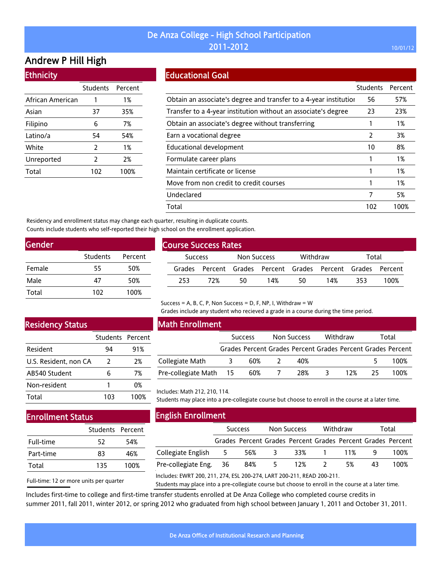## Andrew P Hill High

Ethnicity

| LUMICIU          |                 |         |
|------------------|-----------------|---------|
|                  | <b>Students</b> | Percent |
| African American | 1               | 1%      |
| Asian            | 37              | 35%     |
| Filipino         | 6               | 7%      |
| Latino/a         | 54              | 54%     |
| White            | 2               | 1%      |
| Unreported       | $\overline{2}$  | 2%      |
| Total            | 102             | 100%    |
|                  |                 |         |

### Educational Goal

|                                                                   | <b>Students</b> | Percent |
|-------------------------------------------------------------------|-----------------|---------|
| Obtain an associate's degree and transfer to a 4-year institution | 56              | 57%     |
| Transfer to a 4-year institution without an associate's degree    | 23              | 23%     |
| Obtain an associate's degree without transferring                 |                 | 1%      |
| Earn a vocational degree                                          | 2               | 3%      |
| Educational development                                           | 10              | 8%      |
| Formulate career plans                                            |                 | 1%      |
| Maintain certificate or license                                   |                 | 1%      |
| Move from non credit to credit courses                            |                 | 1%      |
| Undeclared                                                        | 7               | 5%      |
| Total                                                             | 102             | 100%    |

Residency and enrollment status may change each quarter, resulting in duplicate counts. Counts include students who self-reported their high school on the enrollment application.

| <b>Gender</b> |                 |         |
|---------------|-----------------|---------|
|               | <b>Students</b> | Percent |
| Female        | 55              | 50%     |
| Male          | 47              | 50%     |
| Total         | 102             | 100%    |

| <b>Course Success Rates</b> |                |     |             |     |          |                                                             |       |      |
|-----------------------------|----------------|-----|-------------|-----|----------|-------------------------------------------------------------|-------|------|
|                             | <b>Success</b> |     | Non Success |     | Withdraw |                                                             | Total |      |
|                             |                |     |             |     |          | Grades Percent Grades Percent Grades Percent Grades Percent |       |      |
|                             | 253.           | 72% | 50          | 14% | 50       | 14%                                                         | 353.  | 100% |

#### Success = A, B, C, P, Non Success = D, F, NP, I, Withdraw =  $W$

Grades include any student who recieved a grade in a course during the time period.

### Residency Status

|                       | Students Percent |      |
|-----------------------|------------------|------|
| Resident              | 94               | 91%  |
| U.S. Resident, non CA | $\mathcal{L}$    | 2%   |
| AB540 Student         | 6                | 7%   |
| Non-resident          |                  | 0%   |
| Total                 | 103              | 100% |

### Math Enrollment

|                        | <b>Success</b> | Non Success | Withdraw |    | Total                                                       |
|------------------------|----------------|-------------|----------|----|-------------------------------------------------------------|
|                        |                |             |          |    | Grades Percent Grades Percent Grades Percent Grades Percent |
| Collegiate Math        | 60%            | 40%         |          |    | 100%                                                        |
| Pre-collegiate Math 15 | 60%            | 28%         | 12%      | 25 | 100%                                                        |

#### Includes: Math 212, 210, 114.

Students may place into a pre-collegiate course but choose to enroll in the course at a later time.

## Enrollment Status

|           | Students Percent |      |
|-----------|------------------|------|
| Full-time | 52               | 54%  |
| Part-time | 83               | 46%  |
| Total     | 135              | 100% |

Full-time: 12 or more units per quarter

English Enrollment

|                        | <b>Success</b> |     | Non Success |     | Withdraw |     | Total |                                                             |
|------------------------|----------------|-----|-------------|-----|----------|-----|-------|-------------------------------------------------------------|
|                        |                |     |             |     |          |     |       | Grades Percent Grades Percent Grades Percent Grades Percent |
| Collegiate English     | - 5            | 56% | - 3         | 33% | 1 11%    |     |       | 100%                                                        |
| Pre-collegiate Eng. 36 |                | 84% | - 5         | 12% |          | .5% | 43    | 100%                                                        |

Includes: EWRT 200, 211, 274, ESL 200-274, LART 200-211, READ 200-211.

Students may place into a pre-collegiate course but choose to enroll in the course at a later time.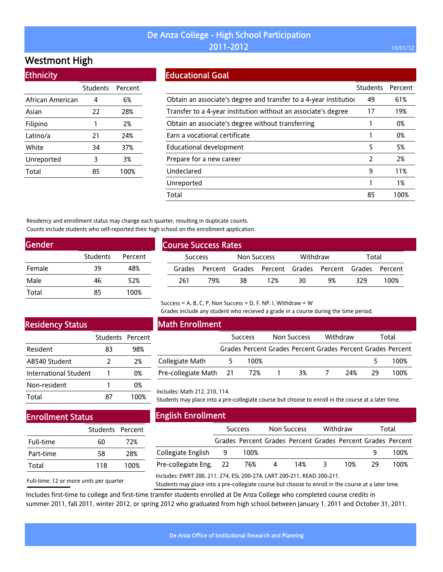## Westmont High

| <b>Ethnicity</b> |                 |         |
|------------------|-----------------|---------|
|                  | <b>Students</b> | Percent |
| African American | 4               | 6%      |
| Asian            | 22              | 28%     |
| Filipino         | 1               | 2%      |
| Latino/a         | 21              | 24%     |
| White            | 34              | 37%     |
| Unreported       | 3               | 3%      |
| Total            | 85              | 100%    |
|                  |                 |         |

#### Educational Goal

|                                                                   | Students | Percent |
|-------------------------------------------------------------------|----------|---------|
| Obtain an associate's degree and transfer to a 4-year institution | 49       | 61%     |
| Transfer to a 4-year institution without an associate's degree    | 17       | 19%     |
| Obtain an associate's degree without transferring                 |          | 0%      |
| Earn a vocational certificate                                     |          | 0%      |
| Educational development                                           | 5        | 5%      |
| Prepare for a new career                                          | 2        | 2%      |
| Undeclared                                                        | 9        | 11%     |
| Unreported                                                        |          | 1%      |
| Total                                                             | 85       | 100%    |

Residency and enrollment status may change each quarter, resulting in duplicate counts. Counts include students who self-reported their high school on the enrollment application.

| <b>Gender</b> |                 |         |
|---------------|-----------------|---------|
|               | <b>Students</b> | Percent |
| Female        | 39              | 48%     |
| Male          | 46              | 52%     |
| Total         | 85              | 100%    |

| <b>Course Success Rates</b> |                |     |             |                                                             |          |    |       |      |
|-----------------------------|----------------|-----|-------------|-------------------------------------------------------------|----------|----|-------|------|
|                             | <b>Success</b> |     | Non Success |                                                             | Withdraw |    | Total |      |
|                             |                |     |             | Grades Percent Grades Percent Grades Percent Grades Percent |          |    |       |      |
|                             | 261            | 79% | 38          | 12%                                                         | 30       | 9% | 329   | 100% |

Success = A, B, C, P, Non Success = D, F, NP, I, Withdraw =  $W$ 

Grades include any student who recieved a grade in a course during the time period.

## Residency Status

|                       | Students Percent |      |
|-----------------------|------------------|------|
| Resident              | 83               | 98%  |
| AB540 Student         | $\mathcal{L}$    | 2%   |
| International Student |                  | 0%   |
| Non-resident          |                  | 0%   |
| Total                 | 87               | 100% |

### Math Enrollment

|                        | <b>Success</b> |      | Non Success |    | Withdraw |      | Total |                                                             |
|------------------------|----------------|------|-------------|----|----------|------|-------|-------------------------------------------------------------|
|                        |                |      |             |    |          |      |       | Grades Percent Grades Percent Grades Percent Grades Percent |
| Collegiate Math        |                | 100% |             |    |          |      |       | 100%                                                        |
| Pre-collegiate Math 21 |                | 72%  |             | 3% |          | -24% | 79    | 100%                                                        |

### Includes: Math 212, 210, 114.

Students may place into a pre-collegiate course but choose to enroll in the course at a later time.

## Enrollment Status

|           | Students Percent |      |
|-----------|------------------|------|
| Full-time | 60               | 72%  |
| Part-time | 58               | 28%  |
| Total     | 118              | 100% |

Full-time: 12 or more units per quarter

English Enrollment

|                        | <b>Success</b> |                                                             | Non Success |     | Withdraw |     | Total |      |
|------------------------|----------------|-------------------------------------------------------------|-------------|-----|----------|-----|-------|------|
|                        |                | Grades Percent Grades Percent Grades Percent Grades Percent |             |     |          |     |       |      |
| Collegiate English 9   |                | 100%                                                        |             |     |          |     |       | 100% |
| Pre-collegiate Eng. 22 |                | 76%                                                         | 4           | 14% | - 3      | 10% | - 29  | 100% |
|                        |                |                                                             |             |     |          |     |       |      |

Includes: EWRT 200, 211, 274, ESL 200-274, LART 200-211, READ 200-211.

Students may place into a pre-collegiate course but choose to enroll in the course at a later time.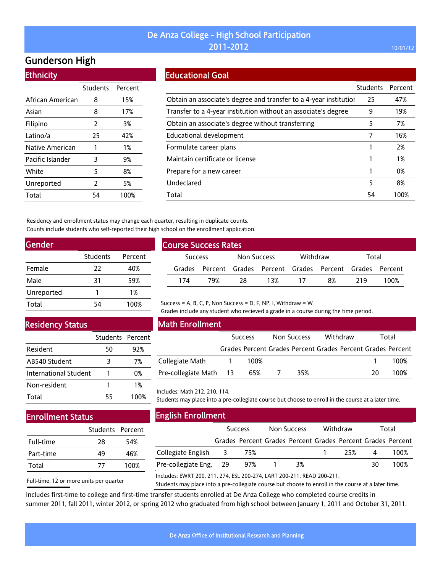## Gunderson High

**Ethnicity** 

| --------         |                 |         |
|------------------|-----------------|---------|
|                  | <b>Students</b> | Percent |
| African American | 8               | 15%     |
| Asian            | 8               | 17%     |
| Filipino         | $\overline{2}$  | 3%      |
| Latino/a         | 25              | 42%     |
| Native American  | 1               | 1%      |
| Pacific Islander | 3               | 9%      |
| White            | 5               | 8%      |
| Unreported       | $\overline{2}$  | 5%      |
| Total            | 54              | 100%    |

### Educational Goal

|                                                                   | <b>Students</b> | Percent |
|-------------------------------------------------------------------|-----------------|---------|
| Obtain an associate's degree and transfer to a 4-year institution | 25              | 47%     |
| Transfer to a 4-year institution without an associate's degree    | 9               | 19%     |
| Obtain an associate's degree without transferring                 | 5               | 7%      |
| Educational development                                           |                 | 16%     |
| Formulate career plans                                            |                 | 2%      |
| Maintain certificate or license                                   |                 | 1%      |
| Prepare for a new career                                          |                 | 0%      |
| Undeclared                                                        | 5               | 8%      |
| Total                                                             | 54              | 100%    |

Residency and enrollment status may change each quarter, resulting in duplicate counts. Counts include students who self-reported their high school on the enrollment application.

| Gender     |          |         |
|------------|----------|---------|
|            | Students | Percent |
| Female     | 22       | 40%     |
| Male       | 31       | 59%     |
| Unreported |          | 1%      |
| Total      | 54       | 100%    |

| <b>Course Success Rates</b> |     |             |     |          |                                                             |       |      |  |
|-----------------------------|-----|-------------|-----|----------|-------------------------------------------------------------|-------|------|--|
| <b>Success</b>              |     | Non Success |     | Withdraw |                                                             | Total |      |  |
|                             |     |             |     |          | Grades Percent Grades Percent Grades Percent Grades Percent |       |      |  |
| 174                         | 79% | -28         | 13% | - 17     | 8%                                                          | 219   | 100% |  |

### Residency Status

|                       | Students Percent |      |
|-----------------------|------------------|------|
| Resident              | 50               | 92%  |
| AB540 Student         | 3                | 7%   |
| International Student |                  | በ%   |
| Non-resident          |                  | 1%   |
| Total                 | 55               | 100% |

#### Math Enrollment

|                        | <b>Success</b> | Non Success | Withdraw                                                    |    | Total |
|------------------------|----------------|-------------|-------------------------------------------------------------|----|-------|
|                        |                |             | Grades Percent Grades Percent Grades Percent Grades Percent |    |       |
| Collegiate Math        | 100%           |             |                                                             |    | 100%  |
| Pre-collegiate Math 13 | 65%            | 35%         |                                                             | 20 | 100%  |

Grades include any student who recieved a grade in a course during the time period.

#### Includes: Math 212, 210, 114.

Students may place into a pre-collegiate course but choose to enroll in the course at a later time.

## Enrollment Status

|           | Students Percent |      |
|-----------|------------------|------|
| Full-time | 28               | 54%  |
| Part-time | 49               | 46%  |
| Total     | 77               | 100% |

Full-time: 12 or more units per quarter

English Enrollment

|                        | <b>Success</b> |                                                             | Non Success |    | Withdraw |     | Total |      |
|------------------------|----------------|-------------------------------------------------------------|-------------|----|----------|-----|-------|------|
|                        |                | Grades Percent Grades Percent Grades Percent Grades Percent |             |    |          |     |       |      |
| Collegiate English 3   |                | 75%                                                         |             |    |          | 25% | Δ     | 100% |
| Pre-collegiate Eng. 29 |                | 97%                                                         |             | 3% |          |     | 30    | 100% |
|                        |                |                                                             |             |    |          |     |       |      |

Includes: EWRT 200, 211, 274, ESL 200-274, LART 200-211, READ 200-211.

Success = A, B, C, P, Non Success = D, F, NP, I, Withdraw =  $W$ 

Students may place into a pre-collegiate course but choose to enroll in the course at a later time.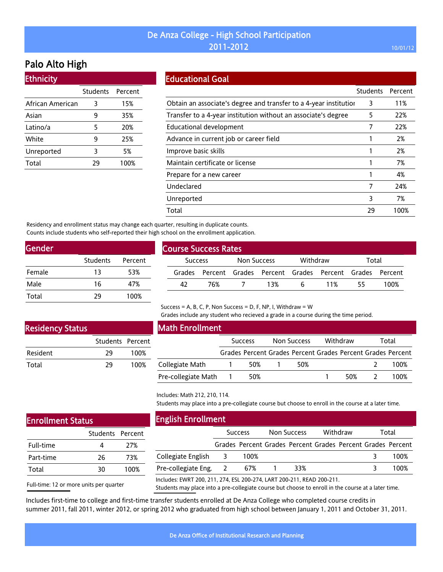## Palo Alto High

| <b>Ethnicity</b> |  |
|------------------|--|
|                  |  |

|                  | Students | Percent |
|------------------|----------|---------|
| African American | 3        | 15%     |
| Asian            | q        | 35%     |
| Latino/a         | 5        | 20%     |
| White            | ۹        | 25%     |
| Unreported       | 3        | 5%      |
| Total            | 29       | 100%    |

| <b>Educational Goal</b> |  |  |
|-------------------------|--|--|
|                         |  |  |
|                         |  |  |

|                                                                   | <b>Students</b> | Percent |
|-------------------------------------------------------------------|-----------------|---------|
| Obtain an associate's degree and transfer to a 4-year institution | 3               | 11%     |
| Transfer to a 4-year institution without an associate's degree    | 5               | 22%     |
| Educational development                                           |                 | 22%     |
| Advance in current job or career field                            |                 | 2%      |
| Improve basic skills                                              |                 | 2%      |
| Maintain certificate or license                                   |                 | 7%      |
| Prepare for a new career                                          |                 | 4%      |
| Undeclared                                                        | 7               | 24%     |
| Unreported                                                        | 3               | 7%      |
| Total                                                             | 29              | 100%    |

Residency and enrollment status may change each quarter, resulting in duplicate counts. Counts include students who self-reported their high school on the enrollment application.

| Students | Percent |
|----------|---------|
| 13       | 53%     |
| 16       | 47%     |
| 29       | 100%    |
|          |         |

| <b>Course Success Rates</b> |                |     |             |       |          |                                                             |       |      |
|-----------------------------|----------------|-----|-------------|-------|----------|-------------------------------------------------------------|-------|------|
|                             | <b>Success</b> |     | Non Success |       | Withdraw |                                                             | Total |      |
|                             |                |     |             |       |          | Grades Percent Grades Percent Grades Percent Grades Percent |       |      |
|                             | 42             | 76% |             | 7 13% |          | 6 11%                                                       | -55.  | 100% |
|                             |                |     |             |       |          |                                                             |       |      |

#### Success = A, B, C, P, Non Success = D, F, NP, I, Withdraw =  $W$

Grades include any student who recieved a grade in a course during the time period.

### Residency Status

Enrollment Status

Full-time Part-time Total

|                 | Students Percent |      |
|-----------------|------------------|------|
| <b>Resident</b> | 29               | 100% |
| Total           | 79               | 100% |

| <b>Math Enrollment</b> |  |                |  |                                                             |  |          |  |       |  |
|------------------------|--|----------------|--|-------------------------------------------------------------|--|----------|--|-------|--|
|                        |  | <b>Success</b> |  | Non Success                                                 |  | Withdraw |  | Total |  |
|                        |  |                |  | Grades Percent Grades Percent Grades Percent Grades Percent |  |          |  |       |  |
| Collegiate Math        |  | 50%            |  | 50%                                                         |  |          |  | 100%  |  |
| Pre-collegiate Math    |  | 50%            |  |                                                             |  | 50%      |  | 100%  |  |

#### Includes: Math 212, 210, 114.

Students may place into a pre-collegiate course but choose to enroll in the course at a later time.

| JS.              |      | <b>English Enrollment</b>                                              |   |                |                    |          |                                                             |
|------------------|------|------------------------------------------------------------------------|---|----------------|--------------------|----------|-------------------------------------------------------------|
| Students Percent |      |                                                                        |   | <b>Success</b> | <b>Non Success</b> | Withdraw | Total                                                       |
| 4                | 27%  |                                                                        |   |                |                    |          | Grades Percent Grades Percent Grades Percent Grades Percent |
| 26               | 73%  | Collegiate English                                                     |   | 100%           |                    |          | 100%                                                        |
| 30               | 100% | Pre-collegiate Eng.                                                    | 2 | 67%            | 33%                |          | 100%                                                        |
| its ner guarter. |      | Includes: EWRT 200, 211, 274, ESL 200-274, LART 200-211, READ 200-211. |   |                |                    |          |                                                             |

Full-time: 12 or more units per quarter

Students may place into a pre-collegiate course but choose to enroll in the course at a later time.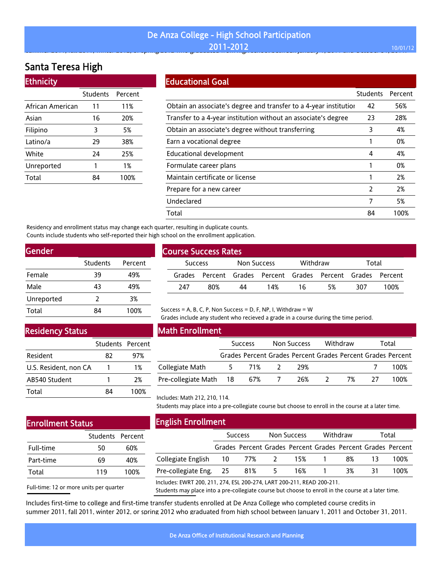#### De Anza College - High School Participation **2011-2012** 10/01/12 summer 2011, fall and spring 2011,  $\frac{1}{201}$  and  $\frac{2011}{2012}$

## Santa Teresa High

| <b>Ethnicity</b> |                 |         |  |  |  |  |
|------------------|-----------------|---------|--|--|--|--|
|                  | <b>Students</b> | Percent |  |  |  |  |
| African American | 11              | 11%     |  |  |  |  |
| Asian            | 16              | 20%     |  |  |  |  |
| Filipino         | 3               | 5%      |  |  |  |  |
| Latino/a         | 29              | 38%     |  |  |  |  |
| White            | 24              | 25%     |  |  |  |  |
| Unreported       | 1               | 1%      |  |  |  |  |
| Total            |                 | 100%    |  |  |  |  |

### Educational Goal

|                                                                   | <b>Students</b> | Percent |
|-------------------------------------------------------------------|-----------------|---------|
| Obtain an associate's degree and transfer to a 4-year institution | 42              | 56%     |
| Transfer to a 4-year institution without an associate's degree    | 23              | 28%     |
| Obtain an associate's degree without transferring                 | 3               | 4%      |
| Earn a vocational degree                                          |                 | 0%      |
| <b>Educational development</b>                                    | 4               | 4%      |
| Formulate career plans                                            |                 | 0%      |
| Maintain certificate or license                                   |                 | 2%      |
| Prepare for a new career                                          | 2               | 2%      |
| Undeclared                                                        | 7               | 5%      |
| Total                                                             | 84              | 100%    |
|                                                                   |                 |         |

Residency and enrollment status may change each quarter, resulting in duplicate counts. Counts include students who self-reported their high school on the enrollment application.

| Gender     |          |         |
|------------|----------|---------|
|            | Students | Percent |
| Female     | 39       | 49%     |
| Male       | 43       | 49%     |
| Unreported | 2        | 3%      |
| Total      | 84       | 100%    |
|            |          |         |

### Residency Status

|                       | Students Percent |      |
|-----------------------|------------------|------|
| Resident              | 82               | 97%  |
| U.S. Resident, non CA |                  | 1%   |
| AB540 Student         |                  | 2%   |
| Total                 | RΔ               | 100% |

## Math Enrollment

Course Success Rates

|                        | <b>Success</b> |       | Non Success |     | Withdraw |    | Total |                                                             |
|------------------------|----------------|-------|-------------|-----|----------|----|-------|-------------------------------------------------------------|
|                        |                |       |             |     |          |    |       | Grades Percent Grades Percent Grades Percent Grades Percent |
| Collegiate Math        | $5^{\circ}$    | 71%   |             | 29% |          |    |       | 100%                                                        |
| Pre-collegiate Math 18 |                | 67% 7 |             | 26% |          | 7% | -27   | 100%                                                        |

Success Non Success Withdraw Total Grades Percent Grades Percent Grades Percent Grades Percent 247 80% 44 14% 16 5% 307 100%

Students may place into a pre-collegiate course but choose to enroll in the course at a later time.

Grades include any student who recieved a grade in a course during the time period.

## Enrollment Status

|           | Students Percent |      |
|-----------|------------------|------|
| Full-time | 50               | 60%  |
| Part-time | 69               | 40%  |
| Total     | 119              | 100% |

Full-time: 12 or more units per quarter

## English Enrollment

Includes: Math 212, 210, 114.

|                                        | <b>Success</b> |       | Non Success |     | Withdraw |    | Total |                                                             |
|----------------------------------------|----------------|-------|-------------|-----|----------|----|-------|-------------------------------------------------------------|
|                                        |                |       |             |     |          |    |       | Grades Percent Grades Percent Grades Percent Grades Percent |
| Collegiate English  10  77%  2  15%  1 |                |       |             |     |          | 8% | -13   | 100%                                                        |
| Pre-collegiate Eng. 25                 |                | 81% 5 |             | 16% |          | 3% | 31    | 100%                                                        |
|                                        |                |       |             |     |          |    |       |                                                             |

Includes: EWRT 200, 211, 274, ESL 200-274, LART 200-211, READ 200-211.

Success = A, B, C, P, Non Success = D, F, NP, I, Withdraw = W

Students may place into a pre-collegiate course but choose to enroll in the course at a later time.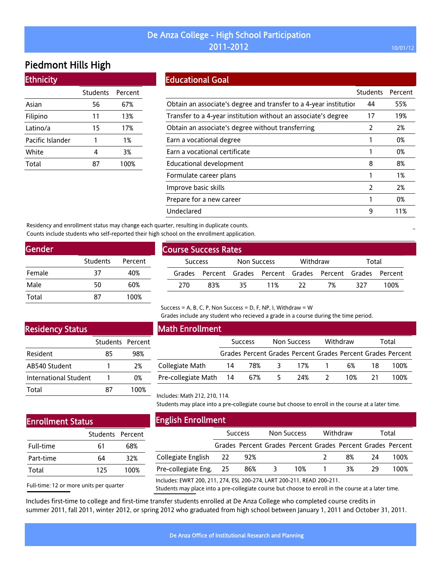## Piedmont Hills High

| <b>Ethnicity</b> |                 |         |  |
|------------------|-----------------|---------|--|
|                  | <b>Students</b> | Percent |  |
| Asian            | 56              | 67%     |  |
| Filipino         | 11              | 13%     |  |
| Latino/a         | 15              | 17%     |  |
| Pacific Islander |                 | 1%      |  |
| White            | 4               | 3%      |  |
| Total            |                 | 100%    |  |

### Educational Goal

|                                                                   | <b>Students</b> | Percent |
|-------------------------------------------------------------------|-----------------|---------|
| Obtain an associate's degree and transfer to a 4-year institution | 44              | 55%     |
| Transfer to a 4-year institution without an associate's degree    | 17              | 19%     |
| Obtain an associate's degree without transferring                 | 2               | 2%      |
| Earn a vocational degree                                          |                 | 0%      |
| Earn a vocational certificate                                     |                 | 0%      |
| Educational development                                           | 8               | 8%      |
| Formulate career plans                                            |                 | 1%      |
| Improve basic skills                                              | $\mathcal{P}$   | 2%      |
| Prepare for a new career                                          |                 | 0%      |
| Undeclared                                                        | 9               | 11%     |

Residency and enrollment status may change each quarter, resulting in duplicate counts. Counts include students who self-reported their high school on the enrollment application.

| Gender |          |         |
|--------|----------|---------|
|        | Students | Percent |
| Female | 37       | 40%     |
| Male   | 50       | 60%     |
| Total  | 87       | 100%    |
|        |          |         |

| <b>Course Success Rates</b> |                |     |     |             |     |                                                             |     |       |  |
|-----------------------------|----------------|-----|-----|-------------|-----|-------------------------------------------------------------|-----|-------|--|
|                             | <b>Success</b> |     |     | Non Success |     | Withdraw                                                    |     | Total |  |
|                             |                |     |     |             |     | Grades Percent Grades Percent Grades Percent Grades Percent |     |       |  |
|                             | 270            | 83% | 35. | 11%         | -22 | 7%                                                          | 327 | 100%  |  |
|                             |                |     |     |             |     |                                                             |     |       |  |

#### Success = A, B, C, P, Non Success = D, F, NP, I, Withdraw = W

Grades include any student who recieved a grade in a course during the time period.

## Residency Status

|                       | Students Percent |      |
|-----------------------|------------------|------|
| Resident              | 85               | 98%  |
| AB540 Student         |                  | 2%   |
| International Student |                  | በ%   |
| Total                 | 87               | 100% |

## Math Enrollment

|                            | <b>Success</b> |  | Non Success |             | Withdraw |     | Total |                                                             |
|----------------------------|----------------|--|-------------|-------------|----------|-----|-------|-------------------------------------------------------------|
|                            |                |  |             |             |          |     |       | Grades Percent Grades Percent Grades Percent Grades Percent |
| Collegiate Math            | -14            |  |             | 78% 3 17% 1 |          | 6%  | 18.   | 100%                                                        |
| Pre-collegiate Math 14 67% |                |  | $5 -$       | 24%         |          | 10% |       | 100%                                                        |

Students may place into a pre-collegiate course but choose to enroll in the course at a later time.

# Enrollment Status

|           | Students Percent |      |
|-----------|------------------|------|
| Full-time | 61               | 68%  |
| Part-time | 64               | 32%  |
| Total     | 125              | 100% |
|           |                  |      |

English Enrollment

Includes: Math 212, 210, 114.

| LIIKUSIT LIII VUITIETIU                                                |                |     |                    |     |          |    |       |                                                             |
|------------------------------------------------------------------------|----------------|-----|--------------------|-----|----------|----|-------|-------------------------------------------------------------|
|                                                                        | <b>Success</b> |     | <b>Non Success</b> |     | Withdraw |    | Total |                                                             |
|                                                                        |                |     |                    |     |          |    |       | Grades Percent Grades Percent Grades Percent Grades Percent |
| Collegiate English 22                                                  |                | 92% |                    |     |          | 8% | 24    | 100%                                                        |
| Pre-collegiate Eng. 25                                                 |                | 86% | 3                  | 10% |          | 3% | 29    | 100%                                                        |
| Includes: EWRT 200, 211, 274, ESL 200-274, LART 200-211, READ 200-211. |                |     |                    |     |          |    |       |                                                             |

Full-time: 12 or more units per quarter

Students may place into a pre-collegiate course but choose to enroll in the course at a later time.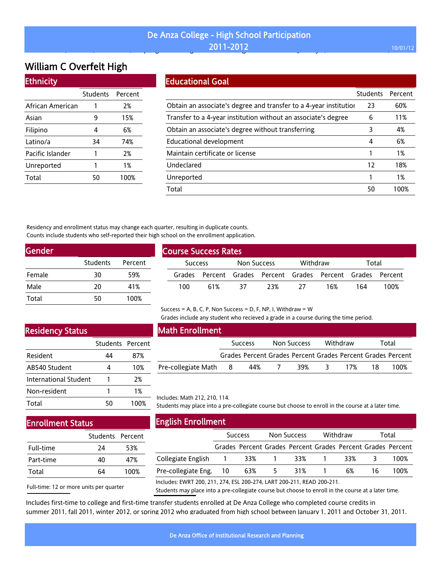#### De Anza College - High School Participation **2011-2012 10/01/12** , , , p g g g J y, ,

# William C Overfelt High

| <b>Ethnicity</b> |          |         |
|------------------|----------|---------|
|                  | Students | Percent |
| African American | 1        | 2%      |
| Asian            | 9        | 15%     |
| Filipino         | 4        | 6%      |
| Latino/a         | 34       | 74%     |
| Pacific Islander | 1        | 2%      |
| Unreported       | 1        | 1%      |
| Total            | 50       | 100%    |

### Educational Goal

|                                                                   | <b>Students</b> | Percent |
|-------------------------------------------------------------------|-----------------|---------|
| Obtain an associate's degree and transfer to a 4-year institution | 23              | 60%     |
| Transfer to a 4-year institution without an associate's degree    | 6               | 11%     |
| Obtain an associate's degree without transferring                 | 3               | 4%      |
| Educational development                                           | 4               | 6%      |
| Maintain certificate or license                                   |                 | 1%      |
| Undeclared                                                        | 12              | 18%     |
| Unreported                                                        |                 | 1%      |
| Total                                                             | 50              | 100%    |
|                                                                   |                 |         |

Residency and enrollment status may change each quarter, resulting in duplicate counts. Counts include students who self-reported their high school on the enrollment application.

| Gender |          |         |
|--------|----------|---------|
|        | Students | Percent |
| Female | 30       | 59%     |
| Male   | 20       | 41%     |
| Total  | 50       | 100%    |

| <b>Course Success Rates</b> |                |     |                    |     |          |                                                             |     |       |  |
|-----------------------------|----------------|-----|--------------------|-----|----------|-------------------------------------------------------------|-----|-------|--|
|                             | <b>Success</b> |     | <b>Non Success</b> |     | Withdraw |                                                             |     | Total |  |
|                             |                |     |                    |     |          | Grades Percent Grades Percent Grades Percent Grades Percent |     |       |  |
|                             | 100            | 61% | -37                | 23% | -27      | 16%                                                         | 164 | 100%  |  |

#### Success = A, B, C, P, Non Success = D, F, NP, I, Withdraw =  $W$

Grades include any student who recieved a grade in a course during the time period.

## Residency Status

|                       | Students Percent |      |
|-----------------------|------------------|------|
| Resident              | 44               | 87%  |
| AB540 Student         |                  | 10%  |
| International Student | 1                | 2%   |
| Non-resident          | 1                | 1%   |
| Total                 | 50               | 100% |

## Math Enrollment

|                     | <b>Success</b> |                                                             | Non Success |     | Withdraw |     | Total |      |
|---------------------|----------------|-------------------------------------------------------------|-------------|-----|----------|-----|-------|------|
|                     |                | Grades Percent Grades Percent Grades Percent Grades Percent |             |     |          |     |       |      |
| Pre-collegiate Math | - 8            | 44%                                                         |             | 39% | $\sim$   | 17% | 18.   | 100% |

Includes: Math 212, 210, 114.

Students may place into a pre-collegiate course but choose to enroll in the course at a later time.

## Enrollment Status

| Students Percent |      |
|------------------|------|
| 24               | 53%  |
| 40               | 47%  |
| 64               | 100% |
|                  |      |

Full-time: 12 or more units per quarter

English Enrollment

|                                                                                                                                                                                                                                                                                                                                                                                                                                                                                            | <b>Success</b> |     | Non Success |                                                             | Withdraw |     | Total |      |
|--------------------------------------------------------------------------------------------------------------------------------------------------------------------------------------------------------------------------------------------------------------------------------------------------------------------------------------------------------------------------------------------------------------------------------------------------------------------------------------------|----------------|-----|-------------|-------------------------------------------------------------|----------|-----|-------|------|
|                                                                                                                                                                                                                                                                                                                                                                                                                                                                                            |                |     |             | Grades Percent Grades Percent Grades Percent Grades Percent |          |     |       |      |
| Collegiate English 1                                                                                                                                                                                                                                                                                                                                                                                                                                                                       |                | 33% |             | 33%                                                         |          | 33% |       | 100% |
| Pre-collegiate Eng. 10                                                                                                                                                                                                                                                                                                                                                                                                                                                                     |                | 63% | $5^{\circ}$ | 31% 1                                                       |          | 6%  | 16    | 100% |
| $\blacksquare$ $\blacksquare$ $\blacksquare$ $\blacksquare$ $\blacksquare$ $\blacksquare$ $\blacksquare$ $\blacksquare$ $\blacksquare$ $\blacksquare$ $\blacksquare$ $\blacksquare$ $\blacksquare$ $\blacksquare$ $\blacksquare$ $\blacksquare$ $\blacksquare$ $\blacksquare$ $\blacksquare$ $\blacksquare$ $\blacksquare$ $\blacksquare$ $\blacksquare$ $\blacksquare$ $\blacksquare$ $\blacksquare$ $\blacksquare$ $\blacksquare$ $\blacksquare$ $\blacksquare$ $\blacksquare$ $\blacks$ |                |     |             |                                                             |          |     |       |      |

Includes: EWRT 200, 211, 274, ESL 200-274, LART 200-211, READ 200-211.

Students may place into a pre-collegiate course but choose to enroll in the course at a later time.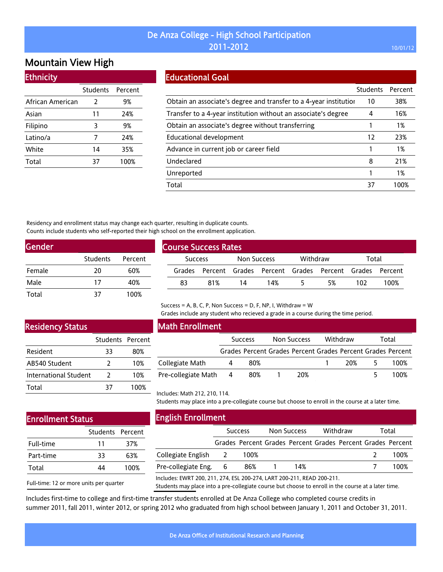## Mountain View High

### **Ethnicity**

|                  | Students      | Percent |
|------------------|---------------|---------|
| African American | $\mathcal{L}$ | 9%      |
| Asian            | 11            | 24%     |
| Filipino         | 3             | 9%      |
| Latino/a         | 7             | 24%     |
| White            | 14            | 35%     |
| Total            | 37            | 100%    |

## Educational Goal

|                                                                   | <b>Students</b> | Percent |
|-------------------------------------------------------------------|-----------------|---------|
| Obtain an associate's degree and transfer to a 4-year institution | 10              | 38%     |
| Transfer to a 4-year institution without an associate's degree    | 4               | 16%     |
| Obtain an associate's degree without transferring                 |                 | 1%      |
| Educational development                                           | 12              | 23%     |
| Advance in current job or career field                            |                 | 1%      |
| Undeclared                                                        | 8               | 21%     |
| Unreported                                                        |                 | 1%      |
| Total                                                             | 37              | 1በበ%    |

Residency and enrollment status may change each quarter, resulting in duplicate counts. Counts include students who self-reported their high school on the enrollment application.

| <b>Gender</b> |          |         |
|---------------|----------|---------|
|               | Students | Percent |
| Female        | 20       | 60%     |
| Male          | 17       | 40%     |
| Total         | 37       | 100%    |

| <b>Course Success Rates</b> |                |     |             |     |          |                                                             |       |      |
|-----------------------------|----------------|-----|-------------|-----|----------|-------------------------------------------------------------|-------|------|
|                             | <b>Success</b> |     | Non Success |     | Withdraw |                                                             | Total |      |
|                             |                |     |             |     |          | Grades Percent Grades Percent Grades Percent Grades Percent |       |      |
|                             | 83             | 81% | 14          | 14% |          | 5%                                                          | 102   | 100% |

## Residency Status

|                       | Students Percent |      |
|-----------------------|------------------|------|
| Resident              | 33               | 80%  |
| AB540 Student         | 7                | 10%  |
| International Student | 2                | 10%  |
| Total                 | 37               | 100% |

#### Math Enrollment

|                     | <b>Success</b> |     | Non Success |     | Withdraw |     | Total |                                                             |
|---------------------|----------------|-----|-------------|-----|----------|-----|-------|-------------------------------------------------------------|
|                     |                |     |             |     |          |     |       | Grades Percent Grades Percent Grades Percent Grades Percent |
| Collegiate Math     |                | 80% |             |     |          | 20% |       | 100%                                                        |
| Pre-collegiate Math | - 4            | 80% |             | 20% |          |     |       | 100%                                                        |

Grades include any student who recieved a grade in a course during the time period.

#### Includes: Math 212, 210, 114.

Students may place into a pre-collegiate course but choose to enroll in the course at a later time.

## Enrollment Status

|           | Students Percent |      |
|-----------|------------------|------|
| Full-time | 11               | 37%  |
| Part-time | 33               | 63%  |
| Total     | ΔΔ               | 100% |

Full-time: 12 or more units per quarter

|  | <b>English Enrollment</b> |
|--|---------------------------|
|  |                           |

|                                                                        | <b>Success</b> |      |  | <b>Non Success</b>                                          |  | Withdraw |  | Total |  |
|------------------------------------------------------------------------|----------------|------|--|-------------------------------------------------------------|--|----------|--|-------|--|
|                                                                        |                |      |  | Grades Percent Grades Percent Grades Percent Grades Percent |  |          |  |       |  |
| Collegiate English 2                                                   |                | 100% |  |                                                             |  |          |  | 100%  |  |
| Pre-collegiate Eng. 6                                                  |                | 86%  |  | 14%                                                         |  |          |  | 100%  |  |
| Includes: EWRT 200, 211, 274, ESL 200-274, LART 200-211, READ 200-211. |                |      |  |                                                             |  |          |  |       |  |

Students may place into a pre-collegiate course but choose to enroll in the course at a later time.

Includes first-time to college and first-time transfer students enrolled at De Anza College who completed course credits in summer 2011, fall 2011, winter 2012, or spring 2012 who graduated from high school between January 1, 2011 and October 31, 2011.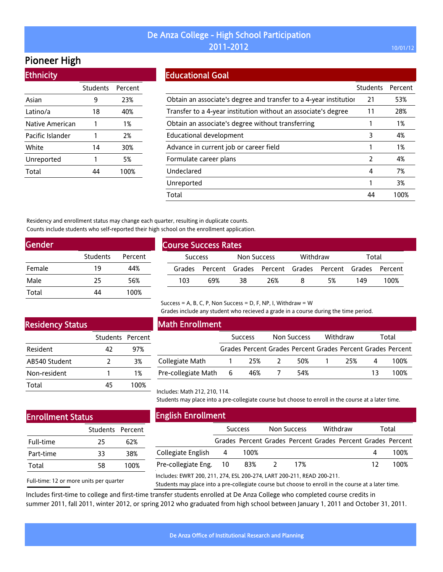## Pioneer High

| <b>Ethnicity</b> |          |         |
|------------------|----------|---------|
|                  | Students | Percent |
| Asian            | 9        | 23%     |
| Latino/a         | 18       | 40%     |
| Native American  | 1        | 1%      |
| Pacific Islander | 1        | 2%      |
| White            | 14       | 30%     |
| Unreported       | 1        | 5%      |
| Total            | Δ4       | 100%    |

### Educational Goal

|                                                                   | <b>Students</b> | Percent |
|-------------------------------------------------------------------|-----------------|---------|
| Obtain an associate's degree and transfer to a 4-year institution | 21              | 53%     |
| Transfer to a 4-year institution without an associate's degree    | 11              | 28%     |
| Obtain an associate's degree without transferring                 |                 | 1%      |
| Educational development                                           | 3               | 4%      |
| Advance in current job or career field                            |                 | 1%      |
| Formulate career plans                                            | $\mathcal{P}$   | 4%      |
| Undeclared                                                        | 4               | 7%      |
| Unreported                                                        |                 | 3%      |
| Total                                                             |                 | 100%    |

Residency and enrollment status may change each quarter, resulting in duplicate counts. Counts include students who self-reported their high school on the enrollment application.

| <b>Gender</b> |                 |         |
|---------------|-----------------|---------|
|               | <b>Students</b> | Percent |
| Female        | 19              | 44%     |
| Male          | 25              | 56%     |
| Total         | Δ4              | 100%    |

| <b>Course Success Rates</b> |     |                    |                                                             |          |    |       |      |  |
|-----------------------------|-----|--------------------|-------------------------------------------------------------|----------|----|-------|------|--|
| <b>Success</b>              |     | <b>Non Success</b> |                                                             | Withdraw |    | Total |      |  |
|                             |     |                    | Grades Percent Grades Percent Grades Percent Grades Percent |          |    |       |      |  |
| 103                         | 69% | 38                 | 26%                                                         | x        | 5% | 149   | 100% |  |

#### Success = A, B, C, P, Non Success = D, F, NP, I, Withdraw =  $W$

Grades include any student who recieved a grade in a course during the time period.

## Residency Status

|               | Students Percent |      |
|---------------|------------------|------|
| Resident      | 42               | 97%  |
| AB540 Student | 2                | 3%   |
| Non-resident  |                  | 1%   |
| Total         | 45               | 100% |

#### Math Enrollment

|                     | <b>Success</b> |     | Non Success |     | Withdraw |     | Total |                                                             |
|---------------------|----------------|-----|-------------|-----|----------|-----|-------|-------------------------------------------------------------|
|                     |                |     |             |     |          |     |       | Grades Percent Grades Percent Grades Percent Grades Percent |
| Collegiate Math     |                | 25% |             | 50% |          | 25% | Δ     | 100%                                                        |
| Pre-collegiate Math | - 6            | 46% |             | 54% |          |     | 13    | 100%                                                        |

Includes: Math 212, 210, 114.

Students may place into a pre-collegiate course but choose to enroll in the course at a later time.

## Enrollment Status

|           | Students Percent |      |
|-----------|------------------|------|
| Full-time | 25               | 62%  |
| Part-time | 33               | 38%  |
| Total     | 58               | 100% |

Full-time: 12 or more units per quarter

English Enrollment

|                        | <b>Success</b> |                                                             | Non Success |       | Withdraw |  | Total |      |
|------------------------|----------------|-------------------------------------------------------------|-------------|-------|----------|--|-------|------|
|                        |                | Grades Percent Grades Percent Grades Percent Grades Percent |             |       |          |  |       |      |
| Collegiate English 4   |                | 100%                                                        |             |       |          |  |       | 100% |
| Pre-collegiate Eng. 10 |                | - 83%                                                       | $\sim$ 2    | - 17% |          |  | 12    | 100% |
|                        |                |                                                             |             |       |          |  |       |      |

Includes: EWRT 200, 211, 274, ESL 200-274, LART 200-211, READ 200-211.

Students may place into a pre-collegiate course but choose to enroll in the course at a later time.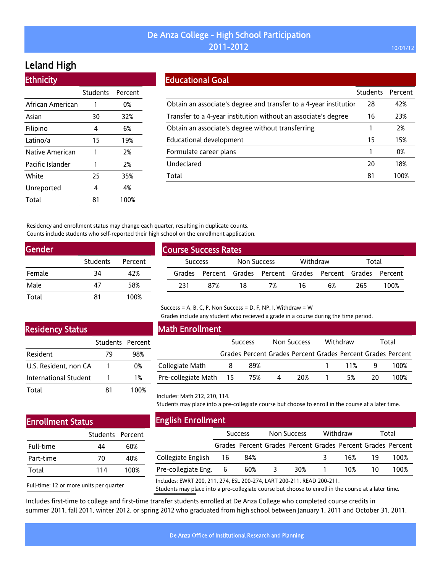# Leland High

| <b>Ethnicity</b> |                  |      |
|------------------|------------------|------|
|                  | Students Percent |      |
| African American | 1                | 0%   |
| Asian            | 30               | 32%  |
| Filipino         | 4                | 6%   |
| Latino/a         | 15               | 19%  |
| Native American  | 1                | 2%   |
| Pacific Islander | 1                | 2%   |
| White            | 25               | 35%  |
| Unreported       | 4                | 4%   |
| Total            | 81               | 100% |

### Educational Goal

|                                                                   | <b>Students</b> | Percent |
|-------------------------------------------------------------------|-----------------|---------|
| Obtain an associate's degree and transfer to a 4-year institution | 28              | 42%     |
| Transfer to a 4-year institution without an associate's degree    | 16              | 23%     |
| Obtain an associate's degree without transferring                 |                 | 2%      |
| Educational development                                           | 15              | 15%     |
| Formulate career plans                                            |                 | 0%      |
| Undeclared                                                        | 20              | 18%     |
| Total                                                             | 81              | 100%    |
|                                                                   |                 |         |

Residency and enrollment status may change each quarter, resulting in duplicate counts. Counts include students who self-reported their high school on the enrollment application.

| Students | Percent |
|----------|---------|
| 34       | 42%     |
| 47       | 58%     |
| 81       | 100%    |
|          |         |

| <b>Course Success Rates</b> |                |     |             |          |    |                                                             |       |      |  |  |
|-----------------------------|----------------|-----|-------------|----------|----|-------------------------------------------------------------|-------|------|--|--|
|                             | <b>Success</b> |     | Non Success | Withdraw |    |                                                             | Total |      |  |  |
|                             |                |     |             |          |    | Grades Percent Grades Percent Grades Percent Grades Percent |       |      |  |  |
|                             | 231            | 87% | 18          | 7%       | 16 | 6%                                                          | 265   | 100% |  |  |

#### Success = A, B, C, P, Non Success = D, F, NP, I, Withdraw =  $W$

Grades include any student who recieved a grade in a course during the time period.

## Residency Status

|                       | Students Percent |      |
|-----------------------|------------------|------|
| Resident              | 79               | 98%  |
| U.S. Resident, non CA |                  | በ%   |
| International Student | 1                | 1%   |
| Total                 | 81               | 100% |

## Math Enrollment

Includes: Math 212, 210, 114.

English Enrollment

|                            | <b>Success</b> |                                                             | Non Success |  | Withdraw    |    | Total |  |
|----------------------------|----------------|-------------------------------------------------------------|-------------|--|-------------|----|-------|--|
|                            |                | Grades Percent Grades Percent Grades Percent Grades Percent |             |  |             |    |       |  |
| Collegiate Math            |                | 89%                                                         |             |  | $1 \t 11\%$ | Q  | 100%  |  |
| Pre-collegiate Math 15 75% |                |                                                             | 20%         |  | 5%          | 20 | 100%  |  |

Students may place into a pre-collegiate course but choose to enroll in the course at a later time.

## Enrollment Status

|           | Students Percent |      |
|-----------|------------------|------|
| Full-time | 44               | 60%  |
| Part-time | 70               | 40%  |
| Total     | 114              | 100% |

Success Non Success Withdraw Total

|                       | Grades Percent Grades Percent Grades Percent Grades Percent |     |     |                 |     |        |        |
|-----------------------|-------------------------------------------------------------|-----|-----|-----------------|-----|--------|--------|
| Collegiate English 16 | - 84%                                                       |     |     |                 | 16% | - 19   | 100%   |
| Pre-collegiate Eng. 6 | 60%                                                         | -3- | 30% | $\sim$ 1 $\sim$ | 10% | - 10 - | - 100% |
|                       |                                                             |     |     |                 |     |        |        |

Full-time: 12 or more units per quarter

Includes: EWRT 200, 211, 274, ESL 200-274, LART 200-211, READ 200-211.

Students may place into a pre-collegiate course but choose to enroll in the course at a later time.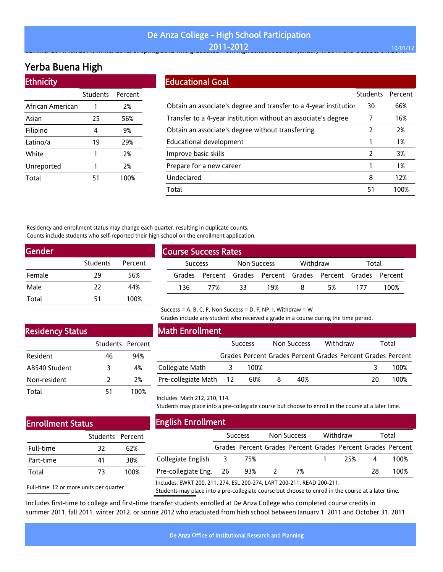#### De Anza College - High School Participation **2011-2012 10/01/12** summer 2011, fall 2012 winter 2012 winter 2012 who graduated from high school between January 1, 2011 and October 31, 2011, 2011, 2011, 2011, 2011, 2011, 2011, 2011, 2011, 2011. 2012 winter 31, 2011. 2011. 2011. 2011. 2012

## Yerba Buena High

| <b>Ethnicity</b> |          |         |
|------------------|----------|---------|
|                  | Students | Percent |
| African American | 1        | 2%      |
| Asian            | 25       | 56%     |
| Filipino         | 4        | 9%      |
| Latino/a         | 19       | 29%     |
| White            | 1        | 2%      |
| Unreported       | 1        | 2%      |
| Total            | 51       | 100%    |

#### Educational Goal

| Luucauvnai ovai                                                   |                 |         |
|-------------------------------------------------------------------|-----------------|---------|
|                                                                   | <b>Students</b> | Percent |
| Obtain an associate's degree and transfer to a 4-year institution | 30              | 66%     |
| Transfer to a 4-year institution without an associate's degree    |                 | 16%     |
| Obtain an associate's degree without transferring                 | 2               | 2%      |
| Educational development                                           |                 | 1%      |
| Improve basic skills                                              | 2               | 3%      |
| Prepare for a new career                                          |                 | 1%      |
| Undeclared                                                        | 8               | 12%     |
| Total                                                             | 51              | 100%    |

Residency and enrollment status may change each quarter, resulting in duplicate counts. Counts include students who self-reported their high school on the enrollment application.

| <b>Gender</b> |          |         |
|---------------|----------|---------|
|               | Students | Percent |
| Female        | 29       | 56%     |
| Male          | 22       | 44%     |
| Total         | 51       | 100%    |

| <b>Course Success Rates</b> |                |     |                    |          |   |                                                             |     |      |  |  |
|-----------------------------|----------------|-----|--------------------|----------|---|-------------------------------------------------------------|-----|------|--|--|
|                             | <b>Success</b> |     | <b>Non Success</b> | Withdraw |   | Total                                                       |     |      |  |  |
|                             |                |     |                    |          |   | Grades Percent Grades Percent Grades Percent Grades Percent |     |      |  |  |
|                             | 136            | 77% | 33                 | 19%      | х | 5%                                                          | 177 | 100% |  |  |

#### Success = A, B, C, P, Non Success = D, F, NP, I, Withdraw =  $W$

Grades include any student who recieved a grade in a course during the time period.

### Residency Status

|               | Students Percent |      |
|---------------|------------------|------|
| Resident      | 46               | 94%  |
| AB540 Student | 3                | 4%   |
| Non-resident  | 7                | 2%   |
| Total         | 51               | 100% |

### Math Enrollment

|                        | <b>Success</b> |      | Non Success |     | Withdraw                                                    | Total |      |
|------------------------|----------------|------|-------------|-----|-------------------------------------------------------------|-------|------|
|                        |                |      |             |     | Grades Percent Grades Percent Grades Percent Grades Percent |       |      |
| Collegiate Math        | - 3            | 100% |             |     |                                                             |       | 100% |
| Pre-collegiate Math 12 |                | 60%  |             | 40% |                                                             | 20    | 100% |

Students may place into a pre-collegiate course but choose to enroll in the course at a later time.

## Enrollment Status

| 32 | 62%              |  |  |
|----|------------------|--|--|
| 41 | 38%              |  |  |
| 73 | 100%             |  |  |
|    | Students Percent |  |  |

Full-time: 12 or more units per quarter

### English Enrollment

Includes: Math 212, 210, 114.

|                        | <b>Success</b> |       | Non Success |    | Withdraw |     | Total |                                                             |
|------------------------|----------------|-------|-------------|----|----------|-----|-------|-------------------------------------------------------------|
|                        |                |       |             |    |          |     |       | Grades Percent Grades Percent Grades Percent Grades Percent |
| Collegiate English 3   |                | - 75% |             |    |          | 25% | 4     | 100%                                                        |
| Pre-collegiate Eng. 26 |                | 93%   |             | 7% |          |     | 28    | 100%                                                        |
|                        |                |       |             |    |          |     |       |                                                             |

Includes: EWRT 200, 211, 274, ESL 200-274, LART 200-211, READ 200-211.

Students may place into a pre-collegiate course but choose to enroll in the course at a later time.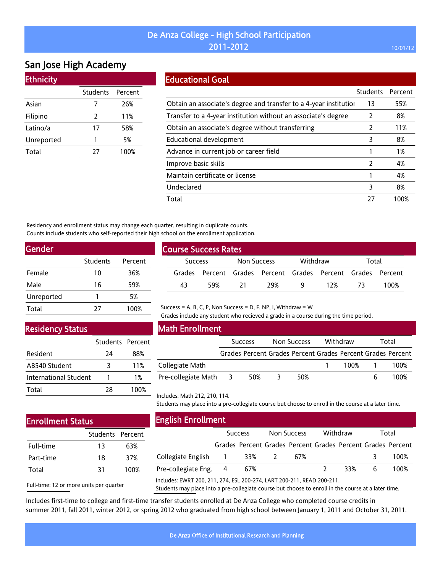# San Jose High Academy

Ethnicity

| Lumncity   |                  |      |
|------------|------------------|------|
|            | Students Percent |      |
| Asian      |                  | 26%  |
| Filipino   | 2                | 11%  |
| Latino/a   | 17               | 58%  |
| Unreported | 1                | 5%   |
| Total      | 77               | 100% |

### Educational Goal

|                                                                   | Students      | Percent |
|-------------------------------------------------------------------|---------------|---------|
| Obtain an associate's degree and transfer to a 4-year institution | 13            | 55%     |
| Transfer to a 4-year institution without an associate's degree    | 2             | 8%      |
| Obtain an associate's degree without transferring                 | $\mathcal{P}$ | 11%     |
| Educational development                                           | 3             | 8%      |
| Advance in current job or career field                            |               | 1%      |
| Improve basic skills                                              | $\mathcal{P}$ | 4%      |
| Maintain certificate or license                                   |               | 4%      |
| Undeclared                                                        | 3             | 8%      |
| Total                                                             | 27            | 100%    |

Residency and enrollment status may change each quarter, resulting in duplicate counts. Counts include students who self-reported their high school on the enrollment application.

| Students | Percent |
|----------|---------|
| 10       | 36%     |
| 16       | 59%     |
|          | 5%      |
| 27       | 100%    |
|          |         |

# Course Success Rates Success Non Success Withdraw Total Grades Percent Grades Percent Grades Percent Grades Percent 43 59% 21 29% 9 12% 73 100%

#### Grades include any student who recieved a grade in a course during the time period.

Success = A, B, C, P, Non Success = D, F, NP, I, Withdraw = W

### Residency Status

|                       | Students Percent |      |
|-----------------------|------------------|------|
| Resident              | 24               | 88%  |
| AB540 Student         | 3                | 11%  |
| International Student |                  | 1%   |
| Total                 | 28               | 100% |

### Math Enrollment

|                       | <b>Success</b> |     | Non Success |     | Withdraw |      | Total          |                                                             |
|-----------------------|----------------|-----|-------------|-----|----------|------|----------------|-------------------------------------------------------------|
|                       |                |     |             |     |          |      |                | Grades Percent Grades Percent Grades Percent Grades Percent |
| Collegiate Math       |                |     |             |     |          | 100% | $\overline{1}$ | 100%                                                        |
| Pre-collegiate Math 3 |                | 50% | ≺           | 50% |          |      |                | 100%                                                        |

# Enrollment Status

|           | Students Percent |      |
|-----------|------------------|------|
| Full-time | 13               | 63%  |
| Part-time | 18               | 37%  |
| Total     | 31               | 100% |

| <b>English Enrollment</b> |  |  |
|---------------------------|--|--|
|---------------------------|--|--|

Includes: Math 212, 210, 114.

| ENgush Enfollment                                                                     |                |     |             |                                                             |               |     |       |      |
|---------------------------------------------------------------------------------------|----------------|-----|-------------|-------------------------------------------------------------|---------------|-----|-------|------|
|                                                                                       | <b>Success</b> |     | Non Success |                                                             | Withdraw      |     | Total |      |
|                                                                                       |                |     |             | Grades Percent Grades Percent Grades Percent Grades Percent |               |     |       |      |
| Collegiate English 1                                                                  |                | 33% |             | 67%                                                         |               |     |       | 100% |
| Pre-collegiate Eng. 4                                                                 |                | 67% |             |                                                             | $\mathcal{L}$ | 33% | 6     | 100% |
| <u>111 ממר הואם. 111 ממר דפון וודר ממר ו־15 וידר. 111 ממר דפוווא ו-Accudes: ENIBT</u> |                |     |             |                                                             |               |     |       |      |

Students may place into a pre-collegiate course but choose to enroll in the course at a later time.

Full-time: 12 or more units per quarter

Includes: EWRT 200, 211, 274, ESL 200-274, LART 200-211, READ 200-211.

Students may place into a pre-collegiate course but choose to enroll in the course at a later time.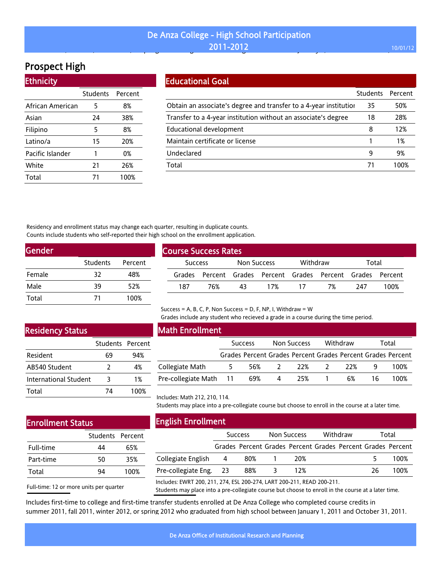# Prospect High

| <b>Ethnicity</b> |          |         |
|------------------|----------|---------|
|                  | Students | Percent |
| African American | 5        | 8%      |
| Asian            | 24       | 38%     |
| Filipino         | 5        | 8%      |
| Latino/a         | 15       | 20%     |
| Pacific Islander | 1        | 0%      |
| White            | 21       | 26%     |
| Total            |          | 100%    |

### Educational Goal

|                                                                   | <b>Students</b> | Percent |
|-------------------------------------------------------------------|-----------------|---------|
| Obtain an associate's degree and transfer to a 4-year institution | 35              | 50%     |
| Transfer to a 4-year institution without an associate's degree    | 18              | 28%     |
| Educational development                                           | 8               | 12%     |
| Maintain certificate or license                                   |                 | 1%      |
| Undeclared                                                        | 9               | 9%      |
| Total                                                             |                 | 100%    |
|                                                                   |                 |         |

Residency and enrollment status may change each quarter, resulting in duplicate counts. Counts include students who self-reported their high school on the enrollment application.

| Gender |          |         |
|--------|----------|---------|
|        | Students | Percent |
| Female | 32       | 48%     |
| Male   | 39       | 52%     |
| Total  | 71       | 100%    |

| <b>Course Success Rates</b> |     |             |          |     |                                                             |      |      |  |  |
|-----------------------------|-----|-------------|----------|-----|-------------------------------------------------------------|------|------|--|--|
| <b>Success</b>              |     | Non Success | Withdraw |     | Total                                                       |      |      |  |  |
|                             |     |             |          |     | Grades Percent Grades Percent Grades Percent Grades Percent |      |      |  |  |
| 187                         | 76% | 43          | 17%      | -17 | 7%                                                          | -247 | 100% |  |  |

#### Success = A, B, C, P, Non Success = D, F, NP, I, Withdraw = W

Grades include any student who recieved a grade in a course during the time period.

## Residency Status

|                       | Students Percent |      |
|-----------------------|------------------|------|
| Resident              | 69               | 94%  |
| AB540 Student         | 2                | 4%   |
| International Student | 3                | 1%   |
| Total                 | 74               | 100% |

# Math Enrollment

|                        | <b>Success</b> |     | Non Success   |                                                             | Withdraw      |     | Total |      |
|------------------------|----------------|-----|---------------|-------------------------------------------------------------|---------------|-----|-------|------|
|                        |                |     |               | Grades Percent Grades Percent Grades Percent Grades Percent |               |     |       |      |
| Collegiate Math        |                | 56% | $\mathcal{L}$ | 22%                                                         | $\mathcal{L}$ | 22% |       | 100% |
| Pre-collegiate Math 11 |                | 69% | 4             | 25%                                                         |               | 6%  | 16.   | 100% |

## Enrollment Status

|           | Students Percent |      |
|-----------|------------------|------|
| Full-time | 44               | 65%  |
| Part-time | 50               | 35%  |
| Total     | ٩Δ               | 100% |

Full-time: 12 or more units per quarter

English Enrollment

Includes: Math 212, 210, 114.

| LUADO LODUCOL          |                |     |             |                                                             |          |  |       |      |
|------------------------|----------------|-----|-------------|-------------------------------------------------------------|----------|--|-------|------|
|                        | <b>Success</b> |     | Non Success |                                                             | Withdraw |  | Total |      |
|                        |                |     |             | Grades Percent Grades Percent Grades Percent Grades Percent |          |  |       |      |
| Collegiate English     | - 4            | 80% |             | 20%                                                         |          |  |       | 100% |
| Pre-collegiate Eng. 23 |                | 88% |             | 12%                                                         |          |  | 26    | 100% |
|                        |                |     |             |                                                             |          |  |       |      |

Students may place into a pre-collegiate course but choose to enroll in the course at a later time.

Includes: EWRT 200, 211, 274, ESL 200-274, LART 200-211, READ 200-211.

Students may place into a pre-collegiate course but choose to enroll in the course at a later time.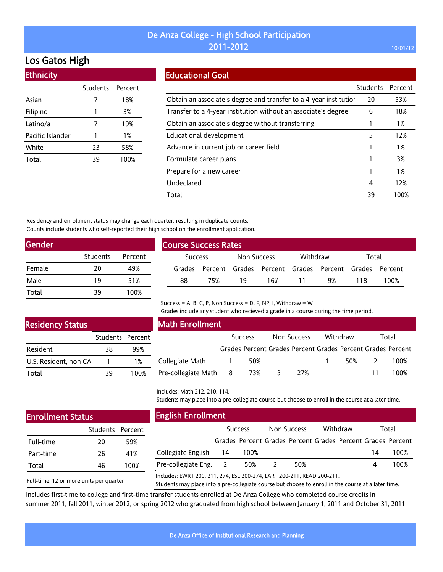## Los Gatos High

Ethnicity

| LUINICIU         |                 |         |
|------------------|-----------------|---------|
|                  | <b>Students</b> | Percent |
| Asian            | 7               | 18%     |
| Filipino         | 1               | 3%      |
| Latino/a         | 7               | 19%     |
| Pacific Islander |                 | 1%      |
| White            | 23              | 58%     |
| Total            | 39              | 100%    |

### Educational Goal

|                                                                   | <b>Students</b> | Percent |
|-------------------------------------------------------------------|-----------------|---------|
| Obtain an associate's degree and transfer to a 4-year institution | 20              | 53%     |
| Transfer to a 4-year institution without an associate's degree    | 6               | 18%     |
| Obtain an associate's degree without transferring                 |                 | 1%      |
| Educational development                                           | 5               | 12%     |
| Advance in current job or career field                            |                 | 1%      |
| Formulate career plans                                            |                 | 3%      |
| Prepare for a new career                                          |                 | 1%      |
| Undeclared                                                        | 4               | 12%     |
| Total                                                             | 39              | 100%    |

Residency and enrollment status may change each quarter, resulting in duplicate counts. Counts include students who self-reported their high school on the enrollment application.

| Gender |          |         |  |  |  |  |  |
|--------|----------|---------|--|--|--|--|--|
|        | Students | Percent |  |  |  |  |  |
| Female | 20       | 49%     |  |  |  |  |  |
| Male   | 19       | 51%     |  |  |  |  |  |
| Total  | 39       | 100%    |  |  |  |  |  |

| <b>Course Success Rates</b> |     |                    |     |          |                                                             |       |      |  |  |
|-----------------------------|-----|--------------------|-----|----------|-------------------------------------------------------------|-------|------|--|--|
| <b>Success</b>              |     | <b>Non Success</b> |     | Withdraw |                                                             | Total |      |  |  |
|                             |     |                    |     |          | Grades Percent Grades Percent Grades Percent Grades Percent |       |      |  |  |
| 88                          | 75% | 19                 | 16% |          | 9%                                                          | 118   | 100% |  |  |

Success = A, B, C, P, Non Success = D, F, NP, I, Withdraw =  $W$ 

Grades include any student who recieved a grade in a course during the time period.

## Residency Status

|                       | Students Percent |      |
|-----------------------|------------------|------|
| Resident              | 38               | 99%  |
| U.S. Resident, non CA |                  | 1%   |
| Total                 | 39               | 100% |

### Math Enrollment

|                       | <b>Success</b> |     | Non Success |     | Withdraw |     | Total |                                                             |
|-----------------------|----------------|-----|-------------|-----|----------|-----|-------|-------------------------------------------------------------|
|                       |                |     |             |     |          |     |       | Grades Percent Grades Percent Grades Percent Grades Percent |
| Collegiate Math       |                | 50% |             |     |          | 50% |       | 100%                                                        |
| Pre-collegiate Math 8 |                | 73% |             | 27% |          |     | 11    | 100%                                                        |

Includes: Math 212, 210, 114.

Students may place into a pre-collegiate course but choose to enroll in the course at a later time.

## Enrollment Status

|           | Students Percent |      |  |  |
|-----------|------------------|------|--|--|
| Full-time | 20               | 59%  |  |  |
| Part-time | 26               | 41%  |  |  |
| Total     | 46               | 100% |  |  |

# Full-time: 12 or more units per quarter

English Enrollment

|                       | <b>Success</b> |                                                             | Non Success |     | Withdraw |  | Total |      |
|-----------------------|----------------|-------------------------------------------------------------|-------------|-----|----------|--|-------|------|
|                       |                | Grades Percent Grades Percent Grades Percent Grades Percent |             |     |          |  |       |      |
| Collegiate English 14 |                | 100%                                                        |             |     |          |  | 14    | 100% |
| Pre-collegiate Eng. 2 |                | 50%                                                         |             | 50% |          |  |       | 100% |
|                       |                |                                                             |             |     |          |  |       |      |

Includes: EWRT 200, 211, 274, ESL 200-274, LART 200-211, READ 200-211.

Students may place into a pre-collegiate course but choose to enroll in the course at a later time.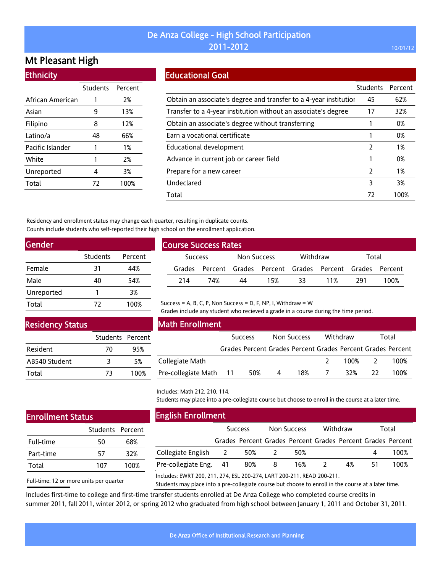## Mt Pleasant High

**Ethnicity** 

| Lunnuly          |                  |      |
|------------------|------------------|------|
|                  | Students Percent |      |
| African American | 1                | 2%   |
| Asian            | 9                | 13%  |
| Filipino         | 8                | 12%  |
| Latino/a         | 48               | 66%  |
| Pacific Islander | 1                | 1%   |
| White            | 1                | 2%   |
| Unreported       | 4                | 3%   |
| Total            | 72               | 100% |
|                  |                  |      |

### Educational Goal

|                                                                   | <b>Students</b> | Percent |
|-------------------------------------------------------------------|-----------------|---------|
| Obtain an associate's degree and transfer to a 4-year institution | 45              | 62%     |
| Transfer to a 4-year institution without an associate's degree    | 17              | 32%     |
| Obtain an associate's degree without transferring                 |                 | 0%      |
| Earn a vocational certificate                                     |                 | 0%      |
| Educational development                                           | $\mathcal{P}$   | 1%      |
| Advance in current job or career field                            |                 | 0%      |
| Prepare for a new career                                          | $\mathcal{P}$   | 1%      |
| Undeclared                                                        | 3               | 3%      |
| Total                                                             | 77              | 100%    |

Residency and enrollment status may change each quarter, resulting in duplicate counts. Counts include students who self-reported their high school on the enrollment application.

| Gender     |          |         |
|------------|----------|---------|
|            | Students | Percent |
| Female     | 31       | 44%     |
| Male       | 40       | 54%     |
| Unreported |          | 3%      |
| Total      | 72       | 100%    |

| <b>Course Success Rates</b>   |     |          |    |                                                             |    |     |      |      |  |
|-------------------------------|-----|----------|----|-------------------------------------------------------------|----|-----|------|------|--|
| Non Success<br><b>Success</b> |     | Withdraw |    | Total                                                       |    |     |      |      |  |
|                               |     |          |    | Grades Percent Grades Percent Grades Percent Grades Percent |    |     |      |      |  |
|                               | 214 | 74%      | 44 | 15%                                                         | ३३ | 11% | -291 | 100% |  |

# Residency Status

|               | Students Percent |      |
|---------------|------------------|------|
| Resident      | 70               | 95%  |
| AB540 Student | 3                | 5%   |
| Total         | 73               | 100% |

#### Math Enrollment

|                        | <b>Success</b> |     | Non Success    |     | Withdraw |      | Total                    |                                                             |
|------------------------|----------------|-----|----------------|-----|----------|------|--------------------------|-------------------------------------------------------------|
|                        |                |     |                |     |          |      |                          | Grades Percent Grades Percent Grades Percent Grades Percent |
| Collegiate Math        |                |     |                |     |          | 100% | $\overline{\phantom{a}}$ | - 100%                                                      |
| Pre-collegiate Math 11 |                | 50% | $\overline{4}$ | 18% |          | 32%  | -22.                     | 100%                                                        |

Grades include any student who recieved a grade in a course during the time period.

Students may place into a pre-collegiate course but choose to enroll in the course at a later time.

## Enrollment Status

|           | Students Percent |      |
|-----------|------------------|------|
| Full-time | 50               | 68%  |
| Part-time | 57               | 32%  |
| Total     | 107              | 100% |

Full-time: 12 or more units per quarter

English Enrollment

|                        | <b>Success</b> |                                                             | Non Success |     | Withdraw                 |    | Total     |      |
|------------------------|----------------|-------------------------------------------------------------|-------------|-----|--------------------------|----|-----------|------|
|                        |                | Grades Percent Grades Percent Grades Percent Grades Percent |             |     |                          |    |           |      |
| Collegiate English 2   |                | 50%                                                         |             | 50% |                          |    | $\Lambda$ | 100% |
| Pre-collegiate Eng. 41 |                | 80%                                                         | - 8         | 16% | $\overline{\phantom{a}}$ | 4% | 51        | 100% |
|                        |                |                                                             |             |     |                          |    |           |      |

Includes: EWRT 200, 211, 274, ESL 200-274, LART 200-211, READ 200-211.

Success = A, B, C, P, Non Success = D, F, NP, I, Withdraw =  $W$ 

Students may place into a pre-collegiate course but choose to enroll in the course at a later time.

Includes: Math 212, 210, 114.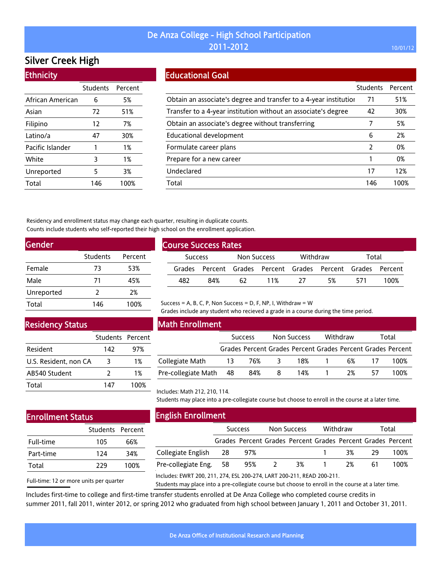# Silver Creek High

| <b>Ethnicity</b> |          |         |
|------------------|----------|---------|
|                  | Students | Percent |
| African American | 6        | 5%      |
| Asian            | 72       | 51%     |
| Filipino         | 12       | 7%      |
| Latino/a         | 47       | 30%     |
| Pacific Islander | 1        | 1%      |
| White            | 3        | 1%      |
| Unreported       | 5        | 3%      |
| Total            | 146      | 100%    |

### Educational Goal

|                                                                   | <b>Students</b> | Percent |
|-------------------------------------------------------------------|-----------------|---------|
| Obtain an associate's degree and transfer to a 4-year institution | 71              | 51%     |
| Transfer to a 4-year institution without an associate's degree    | 42              | 30%     |
| Obtain an associate's degree without transferring                 | 7               | 5%      |
| <b>Educational development</b>                                    | 6               | 2%      |
| Formulate career plans                                            | 2               | 0%      |
| Prepare for a new career                                          |                 | 0%      |
| Undeclared                                                        | 17              | 12%     |
| Total                                                             | 146             | 100%    |

Residency and enrollment status may change each quarter, resulting in duplicate counts. Counts include students who self-reported their high school on the enrollment application.

| Gender     |          |         |  |  |  |  |
|------------|----------|---------|--|--|--|--|
|            | Students | Percent |  |  |  |  |
| Female     | 73       | 53%     |  |  |  |  |
| Male       | 71       | 45%     |  |  |  |  |
| Unreported | 2        | 2%      |  |  |  |  |
| Total      | 146      | 100%    |  |  |  |  |

| <b>Course Success Rates</b>               |     |     |    |         |      |                                                             |     |      |  |
|-------------------------------------------|-----|-----|----|---------|------|-------------------------------------------------------------|-----|------|--|
| Withdraw<br>Non Success<br><b>Success</b> |     |     |    |         |      | Total                                                       |     |      |  |
|                                           |     |     |    |         |      | Grades Percent Grades Percent Grades Percent Grades Percent |     |      |  |
|                                           | 482 | 84% | 62 | $-11\%$ | - 27 | 5%                                                          | 571 | 100% |  |

### Residency Status

|                       | Students Percent |      |
|-----------------------|------------------|------|
| Resident              | 142              | 97%  |
| U.S. Resident, non CA | 3                | 1%   |
| AB540 Student         | $\mathcal{L}$    | 1%   |
| Total                 | 147              | 100% |

### Math Enrollment

|                     | <b>Success</b> |     | Non Success |     | Withdraw |    | Total |                                                             |
|---------------------|----------------|-----|-------------|-----|----------|----|-------|-------------------------------------------------------------|
|                     |                |     |             |     |          |    |       | Grades Percent Grades Percent Grades Percent Grades Percent |
| Collegiate Math     | -13            | 76% |             | 18% |          | 6% |       | 100%                                                        |
| Pre-collegiate Math | - 48           | 84% | -8          | 14% |          | 2% | 57    | 100%                                                        |

Grades include any student who recieved a grade in a course during the time period.

Students may place into a pre-collegiate course but choose to enroll in the course at a later time.

## Enrollment Status

|           | Students Percent |      |
|-----------|------------------|------|
| Full-time | 105              | 66%  |
| Part-time | 124              | 34%  |
| Total     | 229              | 100% |

Full-time: 12 or more units per quarter

English Enrollment

|                        | <b>Success</b> |     | Non Success  |    | Withdraw |    | Total |                                                             |
|------------------------|----------------|-----|--------------|----|----------|----|-------|-------------------------------------------------------------|
|                        |                |     |              |    |          |    |       | Grades Percent Grades Percent Grades Percent Grades Percent |
| Collegiate English 28  |                | 97% |              |    |          | 3% | - 29. | 100%                                                        |
| Pre-collegiate Eng. 58 |                | 95% | <sup>2</sup> | 3% |          | 2% | -61   | 100%                                                        |
|                        |                |     |              |    |          |    |       |                                                             |

Includes: EWRT 200, 211, 274, ESL 200-274, LART 200-211, READ 200-211.

Success = A, B, C, P, Non Success = D, F, NP, I, Withdraw =  $W$ 

Students may place into a pre-collegiate course but choose to enroll in the course at a later time.

Includes: Math 212, 210, 114.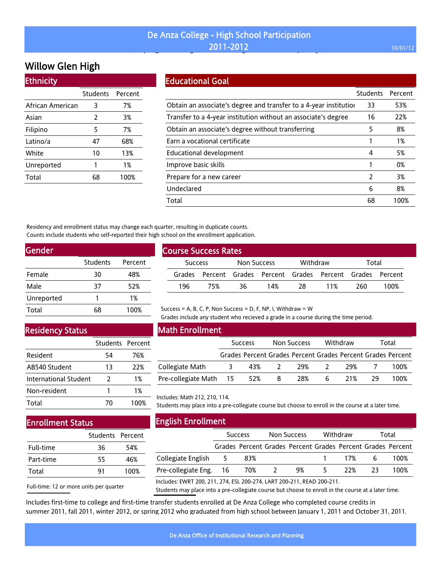#### De Anza College - High School Participation **2011-2012** 10/01/12 , , , p g g g J y, ,

# Willow Glen High

| <b>Ethnicity</b> |          |         |
|------------------|----------|---------|
|                  | Students | Percent |
| African American | 3        | 7%      |
| Asian            | 2        | 3%      |
| Filipino         | 5        | 7%      |
| Latino/a         | 47       | 68%     |
| White            | 10       | 13%     |
| Unreported       | 1        | 1%      |
| Total            | 68       | 100%    |

#### Educational Goal

|                                                                   | <b>Students</b> | Percent |
|-------------------------------------------------------------------|-----------------|---------|
| Obtain an associate's degree and transfer to a 4-year institution | 33              | 53%     |
| Transfer to a 4-year institution without an associate's degree    | 16              | 22%     |
| Obtain an associate's degree without transferring                 | 5               | 8%      |
| Earn a vocational certificate                                     |                 | 1%      |
| Educational development                                           | 4               | 5%      |
| Improve basic skills                                              |                 | 0%      |
| Prepare for a new career                                          | 2               | 3%      |
| Undeclared                                                        | 6               | 8%      |
| Total                                                             | 68              | 100%    |

Residency and enrollment status may change each quarter, resulting in duplicate counts. Counts include students who self-reported their high school on the enrollment application.

| Gender     |          |         |
|------------|----------|---------|
|            | Students | Percent |
| Female     | 30       | 48%     |
| Male       | 37       | 52%     |
| Unreported | 1        | 1%      |
| Total      | 68       | 100%    |
|            |          |         |

#### Residency Status

|                       | Students Percent |      |
|-----------------------|------------------|------|
| Resident              | 54               | 76%  |
| AB540 Student         | 13               | 22%  |
| International Student | 2                | 1%   |
| Non-resident          | 1                | 1%   |
| Total                 | 70               | 100% |

### Math Enrollment

Course Success Rates

|                        | <b>Success</b>                                              |   | Non Success |    | Withdraw |    | Total |
|------------------------|-------------------------------------------------------------|---|-------------|----|----------|----|-------|
|                        | Grades Percent Grades Percent Grades Percent Grades Percent |   |             |    |          |    |       |
| Collegiate Math        | 43%                                                         |   | 29%         |    | 29%      |    | 100%  |
| Pre-collegiate Math 15 | 52%                                                         | 8 | 28%         | 6. | 21%      | 29 | 100%  |

Success Non Success Withdraw Total Grades Percent Grades Percent Grades Percent Grades Percent 196 75% 36 14% 28 11% 260 100%

Grades include any student who recieved a grade in a course during the time period.

# Includes: Math 212, 210, 114.

#### Students may place into a pre-collegiate course but choose to enroll in the course at a later time.

| <b>Enrollment Status</b> |
|--------------------------|
|                          |

|           | Students Percent |      |
|-----------|------------------|------|
| Full-time | 36               | 54%  |
| Part-time | 55               | 46%  |
| Total     | ۹1               | 100% |
|           |                  |      |

Full-time: 12 or more units per quarter

English Enrollment

| -----------------------                                         |                |     |             |    |          |         |       |                                                             |
|-----------------------------------------------------------------|----------------|-----|-------------|----|----------|---------|-------|-------------------------------------------------------------|
|                                                                 | <b>Success</b> |     | Non Success |    | Withdraw |         | Total |                                                             |
|                                                                 |                |     |             |    |          |         |       | Grades Percent Grades Percent Grades Percent Grades Percent |
| Collegiate English 5                                            |                | 83% |             |    |          | 1 17% 6 |       | 100%                                                        |
| Pre-collegiate Eng. 16 70% 2                                    |                |     |             | 9% | 5 -      | 22%     | -23   | 100%                                                        |
| ncludes: EMPT 200 211 274 ECL 200 274 LAPT 200 211 PEAD 200 211 |                |     |             |    |          |         |       |                                                             |

Includes: EWRT 200, 211, 274, ESL 200-274, LART 200-211, READ 200-211.

Students may place into a pre-collegiate course but choose to enroll in the course at a later time.

Includes first-time to college and first-time transfer students enrolled at De Anza College who completed course credits in summer 2011, fall 2011, winter 2012, or spring 2012 who graduated from high school between January 1, 2011 and October 31, 2011.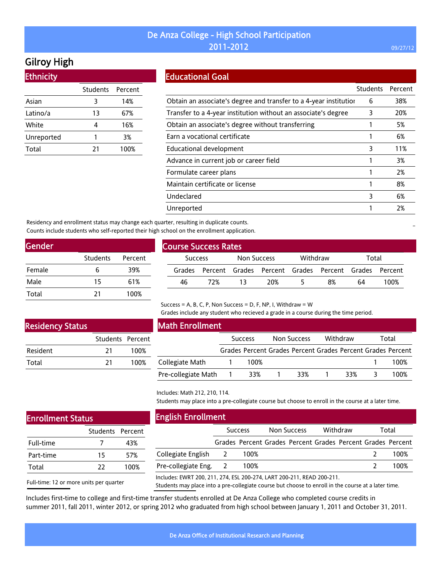# Gilroy High

Ethnicity

| еспоста    |          |         |
|------------|----------|---------|
|            | Students | Percent |
| Asian      | 3        | 14%     |
| Latino/a   | 13       | 67%     |
| White      | 4        | 16%     |
| Unreported |          | 3%      |
| Total      | 21       | 100%    |
|            |          |         |

### Educational Goal

|                                                                   | <b>Students</b> | Percent |
|-------------------------------------------------------------------|-----------------|---------|
| Obtain an associate's degree and transfer to a 4-year institution | 6               | 38%     |
| Transfer to a 4-year institution without an associate's degree    | 3               | 20%     |
| Obtain an associate's degree without transferring                 |                 | 5%      |
| Earn a vocational certificate                                     |                 | 6%      |
| Educational development                                           | 3               | 11%     |
| Advance in current job or career field                            |                 | 3%      |
| Formulate career plans                                            |                 | 2%      |
| Maintain certificate or license                                   |                 | 8%      |
| Undeclared                                                        | 3               | 6%      |
| Unreported                                                        |                 | 2%      |

Residency and enrollment status may change each quarter, resulting in duplicate counts. Counts include students who self-reported their high school on the enrollment application.

| Gender |          |         |
|--------|----------|---------|
|        | Students | Percent |
| Female | 6        | 39%     |
| Male   | 15       | 61%     |
| Total  | 21       | 100%    |

| <b>Course Success Rates</b> |                |     |             |     |          |                                                             |       |      |
|-----------------------------|----------------|-----|-------------|-----|----------|-------------------------------------------------------------|-------|------|
|                             | <b>Success</b> |     | Non Success |     | Withdraw |                                                             | Total |      |
|                             |                |     |             |     |          | Grades Percent Grades Percent Grades Percent Grades Percent |       |      |
|                             | 46             | 72% | -13         | 20% |          | 8%                                                          | 64    | 100% |
|                             |                |     |             |     |          |                                                             |       |      |

#### Success = A, B, C, P, Non Success = D, F, NP, I, Withdraw = W

Grades include any student who recieved a grade in a course during the time period.

### Residency Status

|          | Students Percent |      |
|----------|------------------|------|
| Resident | 21               | 100% |
| Total    | 21               | 100% |

## Math Enrollment

|                     | <b>Success</b> | Non Success | Withdraw | Total                                                       |
|---------------------|----------------|-------------|----------|-------------------------------------------------------------|
|                     |                |             |          | Grades Percent Grades Percent Grades Percent Grades Percent |
| Collegiate Math     | 100%           |             |          | 100%                                                        |
| Pre-collegiate Math | 33%            | 33%         | २२%      | 100%                                                        |

Includes: Math 212, 210, 114.

English Enrollment

Collegiate English Pre-collegiate Eng.

Students may place into a pre-collegiate course but choose to enroll in the course at a later time.

Success Non Success Withdraw Total Grades Percent Grades Percent Grades Percent Grades Percent

2 100% 2 100% 2 100% 2 100%

#### Enrollment Status

Full-time:

|           | Students Percent |      |
|-----------|------------------|------|
| Full-time |                  | 43%  |
| Part-time | 15               | 57%  |
| Total     | つつ               | 100% |

|                              | Includes: EWI |
|------------------------------|---------------|
| 12 or more units per quarter |               |

RT 200, 211, 274, ESL 200-274, LART 200-211, READ 200-211.

Students may place into a pre-collegiate course but choose to enroll in the course at a later time.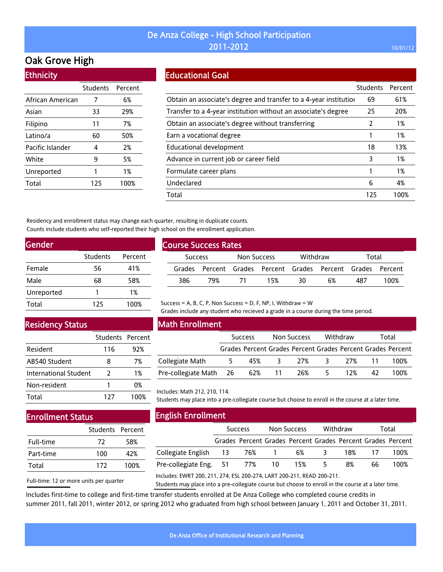## Oak Grove High

Ethnicity

| LUINUU           |          |         |
|------------------|----------|---------|
|                  | Students | Percent |
| African American | 7        | 6%      |
| Asian            | 33       | 29%     |
| Filipino         | 11       | 7%      |
| Latino/a         | 60       | 50%     |
| Pacific Islander | 4        | 2%      |
| White            | 9        | 5%      |
| Unreported       | 1        | 1%      |
| Total            | 125      | 100%    |
|                  |          |         |

### Educational Goal

|                                                                   | <b>Students</b> | Percent |
|-------------------------------------------------------------------|-----------------|---------|
| Obtain an associate's degree and transfer to a 4-year institution | 69              | 61%     |
| Transfer to a 4-year institution without an associate's degree    | 25              | 20%     |
| Obtain an associate's degree without transferring                 | 2               | 1%      |
| Earn a vocational degree                                          |                 | 1%      |
| Educational development                                           | 18              | 13%     |
| Advance in current job or career field                            | 3               | 1%      |
| Formulate career plans                                            |                 | 1%      |
| Undeclared                                                        | 6               | 4%      |
| Total                                                             | 125             | 100%    |

Residency and enrollment status may change each quarter, resulting in duplicate counts. Counts include students who self-reported their high school on the enrollment application.

| Gender     |          |         |  |  |  |  |  |  |
|------------|----------|---------|--|--|--|--|--|--|
|            | Students | Percent |  |  |  |  |  |  |
| Female     | 56       | 41%     |  |  |  |  |  |  |
| Male       | 68       | 58%     |  |  |  |  |  |  |
| Unreported |          | 1%      |  |  |  |  |  |  |
| Total      | 125      | 100%    |  |  |  |  |  |  |

| <b>Course Success Rates</b> |                                                             |             |     |                   |    |     |      |  |  |
|-----------------------------|-------------------------------------------------------------|-------------|-----|-------------------|----|-----|------|--|--|
| <b>Success</b>              |                                                             | Non Success |     | Withdraw<br>Total |    |     |      |  |  |
|                             | Grades Percent Grades Percent Grades Percent Grades Percent |             |     |                   |    |     |      |  |  |
| 386                         | 79%                                                         | - 71        | 15% | 30                | 6% | 487 | 100% |  |  |

### Residency Status

|                       | Students Percent |      |
|-----------------------|------------------|------|
| Resident              | 116              | 92%  |
| AB540 Student         | 8                | 7%   |
| International Student | 2                | 1%   |
| Non-resident          | Ί                | 0%   |
| Total                 | 127              | 100% |

### Math Enrollment

|                               | <b>Success</b> |     |   | Non Success |              | Withdraw | Total |                                                             |
|-------------------------------|----------------|-----|---|-------------|--------------|----------|-------|-------------------------------------------------------------|
|                               |                |     |   |             |              |          |       | Grades Percent Grades Percent Grades Percent Grades Percent |
| Collegiate Math               | 5              | 45% | 3 | 27%         | $\mathbf{R}$ | 27%      | -11   | 100%                                                        |
| Pre-collegiate Math 26 62% 11 |                |     |   | 26%         | 5            | 12%      | 42    | 100%                                                        |

Grades include any student who recieved a grade in a course during the time period.

#### Includes: Math 212, 210, 114.

Students may place into a pre-collegiate course but choose to enroll in the course at a later time.

## Enrollment Status

|           | Students Percent |      |
|-----------|------------------|------|
| Full-time | 72               | 58%  |
| Part-time | 100              | 42%  |
| Total     | 172              | 100% |

Full-time: 12 or more units per quarter

English Enrollment

|                               | <b>Success</b> |       | Non Success |                                                             | Withdraw                |        | Total |      |
|-------------------------------|----------------|-------|-------------|-------------------------------------------------------------|-------------------------|--------|-------|------|
|                               |                |       |             | Grades Percent Grades Percent Grades Percent Grades Percent |                         |        |       |      |
| Collegiate English 13         |                | 76% 1 |             | 6%                                                          | $\overline{\mathbf{3}}$ | 18% 17 |       | 100% |
| Pre-collegiate Eng. 51 77% 10 |                |       |             | 15%                                                         | 5.                      | 8%     | 66    | 100% |

Includes: EWRT 200, 211, 274, ESL 200-274, LART 200-211, READ 200-211.

Success = A, B, C, P, Non Success = D, F, NP, I, Withdraw =  $W$ 

Students may place into a pre-collegiate course but choose to enroll in the course at a later time.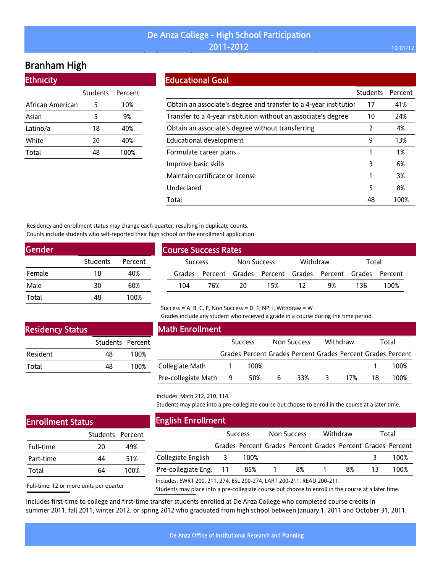## De Anza College - High School Participation  $2011$ –2012  $2012$  and  $2011$ –2012  $2012$  and  $201$  and  $201$  and  $201$  and  $201$

# Branham High

| <b>Ethnicity</b> |                  |      |
|------------------|------------------|------|
|                  | Students Percent |      |
| African American | 5                | 10%  |
| Asian            | 5                | 9%   |
| Latino/a         | 18               | 40%  |
| White            | 20               | 40%  |
| Total            | 48               | 100% |

#### Educational Goal

|                                                                   | <b>Students</b> | Percent |
|-------------------------------------------------------------------|-----------------|---------|
| Obtain an associate's degree and transfer to a 4-year institution | 17              | 41%     |
| Transfer to a 4-year institution without an associate's degree    | 10              | 24%     |
| Obtain an associate's degree without transferring                 | 2               | 4%      |
| Educational development                                           | 9               | 13%     |
| Formulate career plans                                            |                 | 1%      |
| Improve basic skills                                              | 3               | 6%      |
| Maintain certificate or license                                   |                 | 3%      |
| Undeclared                                                        | 5               | 8%      |
| Total                                                             | 48              | 100%    |

Residency and enrollment status may change each quarter, resulting in duplicate counts. Counts include students who self-reported their high school on the enrollment application.

| Gender   |         |  |  |  |  |  |  |  |
|----------|---------|--|--|--|--|--|--|--|
| Students | Percent |  |  |  |  |  |  |  |
| 18       | 40%     |  |  |  |  |  |  |  |
| 30       | 60%     |  |  |  |  |  |  |  |
| 48       | 100%    |  |  |  |  |  |  |  |
|          |         |  |  |  |  |  |  |  |

| <b>Course Success Rates</b> |      |             |     |          |                                                      |       |      |  |  |
|-----------------------------|------|-------------|-----|----------|------------------------------------------------------|-------|------|--|--|
| <b>Success</b>              |      | Non Success |     | Withdraw |                                                      | Total |      |  |  |
| Grades                      |      |             |     |          | Percent Grades Percent Grades Percent Grades Percent |       |      |  |  |
| 104                         | 76%. | 20          | 15% |          | 9%                                                   | 136.  | 100% |  |  |
|                             |      |             |     |          |                                                      |       |      |  |  |

#### Success = A, B, C, P, Non Success = D, F, NP, I, Withdraw = W

Grades include any student who recieved a grade in a course during the time period.

### Residency Status

|                 | Students Percent |      |
|-----------------|------------------|------|
| <b>Resident</b> | 48               | 100% |
| Total           | 48               | 100% |

## Math Enrollment

|                     | <b>Success</b> |      |    | Non Success |                         | Withdraw |     | Total                                                       |  |
|---------------------|----------------|------|----|-------------|-------------------------|----------|-----|-------------------------------------------------------------|--|
|                     |                |      |    |             |                         |          |     | Grades Percent Grades Percent Grades Percent Grades Percent |  |
| Collegiate Math     |                | 100% |    |             |                         |          |     | 100%                                                        |  |
| Pre-collegiate Math | - 9            | 50%  | -6 | 33%         | $\overline{\mathbf{3}}$ | 17%      | -18 | 100%                                                        |  |

#### Includes: Math 212, 210, 114.

Students may place into a pre-collegiate course but choose to enroll in the course at a later time.

| <b>Enrollment Status</b> |
|--------------------------|
|                          |

|           | Students Percent |      |
|-----------|------------------|------|
| Full-time | 20               | 49%  |
| Part-time | 44               | 51%  |
| Total     | 64               | 100% |

## English Enrollment

|                                                                        | <b>Success</b> |       | <b>Non Success</b> |                                                             | Withdraw |    | Total |      |
|------------------------------------------------------------------------|----------------|-------|--------------------|-------------------------------------------------------------|----------|----|-------|------|
|                                                                        |                |       |                    | Grades Percent Grades Percent Grades Percent Grades Percent |          |    |       |      |
| Collegiate English 3                                                   |                | 100%  |                    |                                                             |          |    |       | 100% |
| Pre-collegiate Eng. 11                                                 |                | 85% 1 |                    | 8%                                                          |          | 8% | 13    | 100% |
| Includes: EWRT 200, 211, 274, ESL 200-274, LART 200-211, READ 200-211. |                |       |                    |                                                             |          |    |       |      |

Full-time: 12 or more units per quarter

Students may place into a pre-collegiate course but choose to enroll in the course at a later time.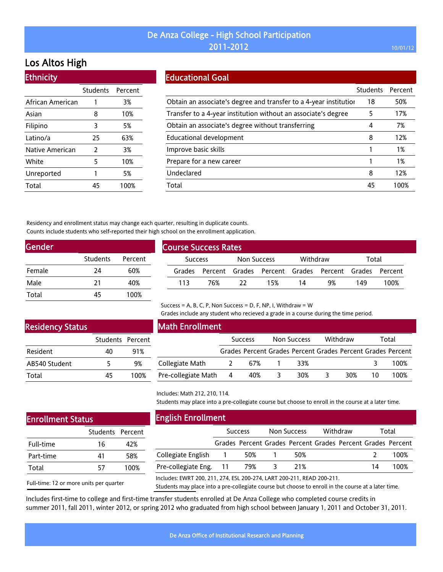# Los Altos High

**Ethnicity** 

| ны шысту         |                  |      |
|------------------|------------------|------|
|                  | Students Percent |      |
| African American | 1                | 3%   |
| Asian            | 8                | 10%  |
| Filipino         | 3                | 5%   |
| Latino/a         | 25               | 63%  |
| Native American  | 2                | 3%   |
| White            | 5                | 10%  |
| Unreported       | 1                | 5%   |
| Total            | 45               | 100% |

### Educational Goal

|                                                                   | <b>Students</b> | Percent |
|-------------------------------------------------------------------|-----------------|---------|
| Obtain an associate's degree and transfer to a 4-year institution | 18              | 50%     |
| Transfer to a 4-year institution without an associate's degree    | 5               | 17%     |
| Obtain an associate's degree without transferring                 | 4               | 7%      |
| <b>Educational development</b>                                    | 8               | 12%     |
| Improve basic skills                                              |                 | 1%      |
| Prepare for a new career                                          |                 | 1%      |
| Undeclared                                                        | 8               | 12%     |
| Total                                                             | 45              | 1በበ%    |

Residency and enrollment status may change each quarter, resulting in duplicate counts. Counts include students who self-reported their high school on the enrollment application.

| Gender |          |         |
|--------|----------|---------|
|        | Students | Percent |
| Female | 24       | 60%     |
| Male   | 21       | 40%     |
| Total  | 45       | 100%    |

| <b>Course Success Rates</b> |                |     |             |     |          |                                                             |       |      |
|-----------------------------|----------------|-----|-------------|-----|----------|-------------------------------------------------------------|-------|------|
|                             | <b>Success</b> |     | Non Success |     | Withdraw |                                                             | Total |      |
|                             |                |     |             |     |          | Grades Percent Grades Percent Grades Percent Grades Percent |       |      |
|                             | 113            | 76% | - 22        | 15% | -14      | 9%                                                          | 149   | 100% |

### Residency Status

|                 | Students Percent |      |
|-----------------|------------------|------|
| <b>Resident</b> | 40               | 91%  |
| AB540 Student   | 5                | 9%   |
| Total           | 45               | 100% |

#### Math Enrollment

|                       |          | <b>Success</b> | Non Success |   | Withdraw |    | Total                                                       |
|-----------------------|----------|----------------|-------------|---|----------|----|-------------------------------------------------------------|
|                       |          |                |             |   |          |    | Grades Percent Grades Percent Grades Percent Grades Percent |
| Collegiate Math       | $\sim$ 2 | 67%            | 33%         |   |          |    | 100%                                                        |
| Pre-collegiate Math 4 |          | - 40%          | 30%         | 3 | 30%      | 10 | 100%                                                        |

Grades include any student who recieved a grade in a course during the time period.

### Includes: Math 212, 210, 114.

English Enrollment

Collegiate English

Students may place into a pre-collegiate course but choose to enroll in the course at a later time.

Success Non Success Withdraw Total Grades Percent Grades Percent Grades Percent Grades Percent

1 50% 1 50% 2 100%

### Enrollment Status

|           | Students Percent |      |
|-----------|------------------|------|
| Full-time | 16               | 42%  |
| Part-time | 41               | 58%  |
| Total     | 57               | 100% |

| Pre-collegiate Eng. 11                                                 | 79% | 21% | 100% |
|------------------------------------------------------------------------|-----|-----|------|
| Includes: EWRT 200, 211, 274, ESL 200-274, LART 200-211, READ 200-211. |     |     |      |

Success = A, B, C, P, Non Success = D, F, NP, I, Withdraw =  $W$ 

Full-time: 12 or more units per quarter Students may place into a pre-collegiate course but choose to enroll in the course at a later time.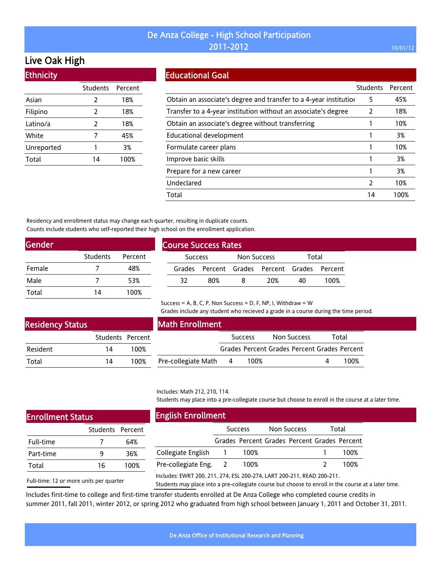## Live Oak High

| <b>Ethnicity</b> |                 |         |
|------------------|-----------------|---------|
|                  | <b>Students</b> | Percent |
| Asian            | 2               | 18%     |
| Filipino         | 2               | 18%     |
| Latino/a         | 2               | 18%     |
| White            | 7               | 45%     |
| Unreported       | 1               | 3%      |
| Total            | 14              | 100%    |

### Educational Goal

|                                                                   | <b>Students</b> | Percent |
|-------------------------------------------------------------------|-----------------|---------|
| Obtain an associate's degree and transfer to a 4-year institution | 5               | 45%     |
| Transfer to a 4-year institution without an associate's degree    | 2               | 18%     |
| Obtain an associate's degree without transferring                 |                 | 10%     |
| Educational development                                           |                 | 3%      |
| Formulate career plans                                            |                 | 10%     |
| Improve basic skills                                              |                 | 3%      |
| Prepare for a new career                                          |                 | 3%      |
| Undeclared                                                        | 2               | 10%     |
| Total                                                             | 14              | 100%    |

Residency and enrollment status may change each quarter, resulting in duplicate counts. Counts include students who self-reported their high school on the enrollment application.

| Gender |          |         |
|--------|----------|---------|
|        | Students | Percent |
| Female |          | 48%     |
| Male   |          | 53%     |
| Total  | 14       | 100%    |

| <b>Course Success Rates</b> |                                              |                    |     |       |      |  |  |
|-----------------------------|----------------------------------------------|--------------------|-----|-------|------|--|--|
| <b>Success</b>              |                                              | <b>Non Success</b> |     | Total |      |  |  |
|                             | Grades Percent Grades Percent Grades Percent |                    |     |       |      |  |  |
| 32.                         | 80%                                          | 8                  | 20% | 40.   | 100% |  |  |

Success = A, B, C, P, Non Success = D, F, NP, I, Withdraw =  $W$ 

Grades include any student who recieved a grade in a course during the time period.

| <b>Residency Status</b> |                  |      |
|-------------------------|------------------|------|
|                         | Students Percent |      |
| Resident                | 14               | 100% |
| Total                   | 14               | 100% |

## Math Enrollment

| ent |                     |     | <b>Success</b>                               | Non Success |  | Total |
|-----|---------------------|-----|----------------------------------------------|-------------|--|-------|
| )%  |                     |     | Grades Percent Grades Percent Grades Percent |             |  |       |
| ን%  | Pre-collegiate Math | - 4 | 100%                                         |             |  | 100%  |

#### Includes: Math 212, 210, 114.

Students may place into a pre-collegiate course but choose to enroll in the course at a later time.

### Enrollment Status

|           | Students Percent |      |
|-----------|------------------|------|
| Full-time |                  | 64%  |
| Part-time | q                | 36%  |
| Total     | 16               | 100% |

Full-time: 12 or more units per quarter

English Enrollment

|                       | <b>Success</b>                               | Non Success | Total |
|-----------------------|----------------------------------------------|-------------|-------|
|                       | Grades Percent Grades Percent Grades Percent |             |       |
| Collegiate English    | 100%                                         |             | 100%  |
| Pre-collegiate Eng. 2 | 100%                                         |             | 100%  |
|                       |                                              |             |       |

Includes: EWRT 200, 211, 274, ESL 200-274, LART 200-211, READ 200-211.

Students may place into a pre-collegiate course but choose to enroll in the course at a later time.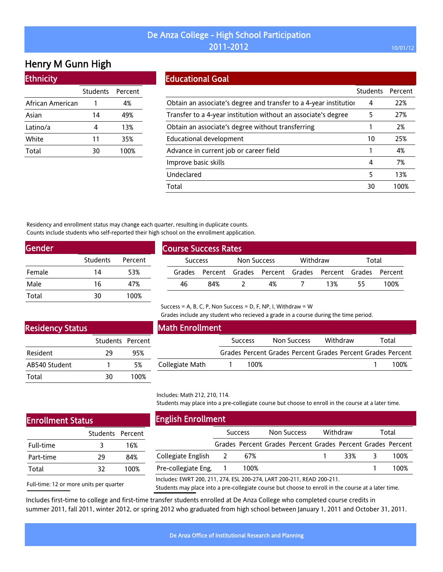## Henry M Gunn High

### **Ethnicity**

|                  | Students Percent |      |
|------------------|------------------|------|
| African American |                  | 4%   |
| Asian            | 14               | 49%  |
| Latino/a         | 4                | 13%  |
| White            | 11               | 35%  |
| Total            | 30               | 100% |

### Educational Goal

|                                                                   | Students | Percent |
|-------------------------------------------------------------------|----------|---------|
| Obtain an associate's degree and transfer to a 4-year institution | 4        | 22%     |
| Transfer to a 4-year institution without an associate's degree    | 5        | 27%     |
| Obtain an associate's degree without transferring                 |          | 2%      |
| Educational development                                           | 10       | 25%     |
| Advance in current job or career field                            |          | 4%      |
| Improve basic skills                                              | 4        | 7%      |
| Undeclared                                                        | 5        | 13%     |
| Total                                                             | 30       | 100%    |

Residency and enrollment status may change each quarter, resulting in duplicate counts. Counts include students who self-reported their high school on the enrollment application.

| Students | Percent |
|----------|---------|
| 14       | 53%     |
| 16       | 47%     |
| 30       | 100%    |
|          |         |

| <b>Course Success Rates</b> |     |             |    |          |                                                             |       |      |  |  |
|-----------------------------|-----|-------------|----|----------|-------------------------------------------------------------|-------|------|--|--|
| <b>Success</b>              |     | Non Success |    | Withdraw |                                                             | Total |      |  |  |
|                             |     |             |    |          | Grades Percent Grades Percent Grades Percent Grades Percent |       |      |  |  |
| 46                          | 84% |             | 4% |          | 13%                                                         | 55    | 100% |  |  |

## Success = A, B, C, P, Non Success = D, F, NP, I, Withdraw = W

Grades include any student who recieved a grade in a course during the time period.

### Residency Status

|               | Students Percent |      |
|---------------|------------------|------|
| Resident      | 29               | 95%  |
| AB540 Student |                  | 5%   |
| Total         | 30               | 100% |

### Math Enrollment

Includes: Math 212, 210, 114.

|                 | <b>Success</b> |                                                             | Non Success |  | Withdraw |  | Total |      |
|-----------------|----------------|-------------------------------------------------------------|-------------|--|----------|--|-------|------|
|                 |                | Grades Percent Grades Percent Grades Percent Grades Percent |             |  |          |  |       |      |
| Collegiate Math |                | 100%                                                        |             |  |          |  |       | 100% |

### Students may place into a pre-collegiate course but choose to enroll in the course at a later time.

| <b>Enrollment Status</b> |                  |      | <b>English Enrollment</b>                                              |                |                                                             |          |       |
|--------------------------|------------------|------|------------------------------------------------------------------------|----------------|-------------------------------------------------------------|----------|-------|
|                          | Students Percent |      |                                                                        | <b>Success</b> | Non Success                                                 | Withdraw | Total |
| Full-time                |                  | 16%  |                                                                        |                | Grades Percent Grades Percent Grades Percent Grades Percent |          |       |
| Part-time                | 29               | 84%  | Collegiate English                                                     | 67%            |                                                             | 33%      | 100%  |
| Total                    | 32               | 100% | Pre-collegiate Eng.                                                    | 100%           |                                                             |          | 100%  |
|                          |                  |      | Includes: EWRT 200, 211, 274, ESL 200-274, LART 200-211, READ 200-211. |                |                                                             |          |       |

Full-time: 12 or more units per quarter

Students may place into a pre-collegiate course but choose to enroll in the course at a later time.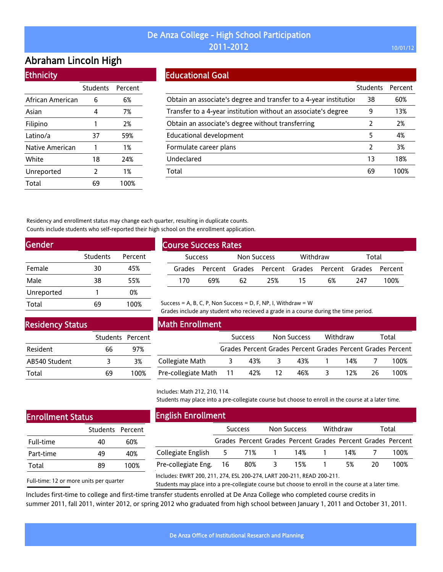## Abraham Lincoln High

|  | <b>Ethnicity</b> |  |
|--|------------------|--|
|  |                  |  |

|                  | Students Percent |      |
|------------------|------------------|------|
| African American | 6                | 6%   |
| Asian            | 4                | 7%   |
| Filipino         | 1                | 2%   |
| Latino/a         | 37               | 59%  |
| Native American  | 1                | 1%   |
| White            | 18               | 24%  |
| Unreported       | 2                | 1%   |
| Total            | 69               | 100% |

### Educational Goal

|                                                                   | <b>Students</b> | Percent |
|-------------------------------------------------------------------|-----------------|---------|
| Obtain an associate's degree and transfer to a 4-year institution | 38              | 60%     |
| Transfer to a 4-year institution without an associate's degree    | 9               | 13%     |
| Obtain an associate's degree without transferring                 |                 | 2%      |
| Educational development                                           | 5               | 4%      |
| Formulate career plans                                            | 2               | 3%      |
| Undeclared                                                        | 13              | 18%     |
| Total                                                             | 69              | 100%    |

Residency and enrollment status may change each quarter, resulting in duplicate counts. Counts include students who self-reported their high school on the enrollment application.

| Gender     |          |         |  |  |  |  |  |  |  |
|------------|----------|---------|--|--|--|--|--|--|--|
|            | Students | Percent |  |  |  |  |  |  |  |
| Female     | 30       | 45%     |  |  |  |  |  |  |  |
| Male       | 38       | 55%     |  |  |  |  |  |  |  |
| Unreported | 1        | 0%      |  |  |  |  |  |  |  |
| Total      |          | 100%    |  |  |  |  |  |  |  |

| <b>Course Success Rates</b> |                                                             |             |     |          |    |       |      |  |
|-----------------------------|-------------------------------------------------------------|-------------|-----|----------|----|-------|------|--|
| <b>Success</b>              |                                                             | Non Success |     | Withdraw |    | Total |      |  |
|                             | Grades Percent Grades Percent Grades Percent Grades Percent |             |     |          |    |       |      |  |
| 170                         | 69%                                                         | 62          | 25% | - 15     | 6% | 747   | 100% |  |

## Success = A, B, C, P, Non Success = D, F, NP, I, Withdraw =  $W$

Grades include any student who recieved a grade in a course during the time period.

### Residency Status

|               | Students Percent |      |
|---------------|------------------|------|
| Resident      | 66               | 97%  |
| AB540 Student | 3                | 3%   |
| Total         | 69               | 100% |

| Math Enrollment        |                |     |                    |                                                             |          |     |       |      |  |
|------------------------|----------------|-----|--------------------|-------------------------------------------------------------|----------|-----|-------|------|--|
|                        | <b>Success</b> |     | <b>Non Success</b> |                                                             | Withdraw |     | Total |      |  |
|                        |                |     |                    | Grades Percent Grades Percent Grades Percent Grades Percent |          |     |       |      |  |
| Collegiate Math        | 3              | 43% | 3                  | 43% 1                                                       |          | 14% |       | 100% |  |
| Pre-collegiate Math 11 |                | 42% | - 12               | 46%                                                         |          | 12% | 26.   | 100% |  |

Includes: Math 212, 210, 114.

Students may place into a pre-collegiate course but choose to enroll in the course at a later time.

## Enrollment Status

|           | Students Percent |      |
|-----------|------------------|------|
| Full-time | 40               | 60%  |
| Part-time | 49               | 40%  |
| Total     | 89               | 100% |

Full-time: 12 or more units per quarter

English Enrollment

|                        | <b>Success</b> |                                                             |          | Non Success |          | Withdraw |     | Total |  |
|------------------------|----------------|-------------------------------------------------------------|----------|-------------|----------|----------|-----|-------|--|
|                        |                | Grades Percent Grades Percent Grades Percent Grades Percent |          |             |          |          |     |       |  |
|                        |                |                                                             |          |             | 14% 1    | 14% 7    |     | 100%  |  |
| Pre-collegiate Eng. 16 |                | 80%                                                         | $\sim$ 3 | 15%         | $\sim$ 1 | 5%       | 20. | 100%  |  |
|                        |                |                                                             |          |             |          |          |     |       |  |

Includes: EWRT 200, 211, 274, ESL 200-274, LART 200-211, READ 200-211.

Students may place into a pre-collegiate course but choose to enroll in the course at a later time.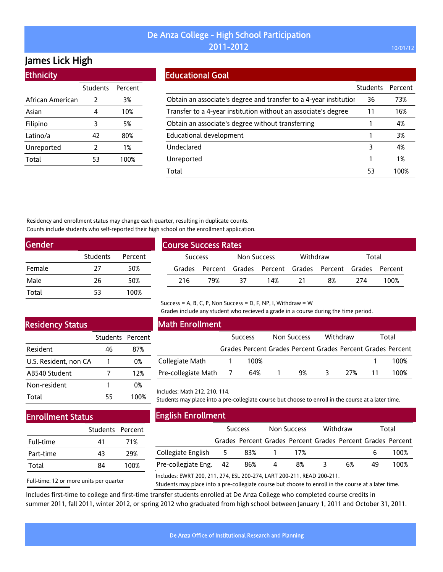## James Lick High

Ethnicity

| <u>есничения</u> |                 |         |
|------------------|-----------------|---------|
|                  | <b>Students</b> | Percent |
| African American | 2               | 3%      |
| Asian            | 4               | 10%     |
| Filipino         | 3               | 5%      |
| Latino/a         | 42              | 80%     |
| Unreported       | 2               | 1%      |
| Total            | 53              | 100%    |
|                  |                 |         |

### Educational Goal

|                                                                   | <b>Students</b> | Percent |
|-------------------------------------------------------------------|-----------------|---------|
| Obtain an associate's degree and transfer to a 4-year institution | 36              | 73%     |
| Transfer to a 4-year institution without an associate's degree    | 11              | 16%     |
| Obtain an associate's degree without transferring                 |                 | 4%      |
| Educational development                                           |                 | 3%      |
| Undeclared                                                        | 3               | 4%      |
| Unreported                                                        |                 | 1%      |
| Total                                                             | 53              | 1በበ%    |

Residency and enrollment status may change each quarter, resulting in duplicate counts. Counts include students who self-reported their high school on the enrollment application.

| <b>Gender</b> |          |         |
|---------------|----------|---------|
|               | Students | Percent |
| Female        | 27       | 50%     |
| Male          | 26       | 50%     |
| Total         | 53       | 100%    |

| <b>Course Success Rates</b> |     |             |                                                             |          |    |       |      |  |
|-----------------------------|-----|-------------|-------------------------------------------------------------|----------|----|-------|------|--|
| <b>Success</b>              |     | Non Success |                                                             | Withdraw |    | Total |      |  |
|                             |     |             | Grades Percent Grades Percent Grades Percent Grades Percent |          |    |       |      |  |
| 216                         | 79% | 37          | 14%                                                         | 21       | 8% | 774   | 100% |  |

# Residency Status

|                       | Students Percent |      |
|-----------------------|------------------|------|
| Resident              | 46               | 87%  |
| U.S. Resident, non CA |                  | 0%   |
| AB540 Student         | 7                | 12%  |
| Non-resident          |                  | 0%   |
| Total                 | 55               | 100% |

### Math Enrollment

|                     | <b>Success</b> | Non Success | Withdraw | Total                                                       |
|---------------------|----------------|-------------|----------|-------------------------------------------------------------|
|                     |                |             |          | Grades Percent Grades Percent Grades Percent Grades Percent |
| Collegiate Math     | 100%           |             |          | 100%                                                        |
| Pre-collegiate Math | 64%            | 9%          | 27%      | 100%                                                        |

Grades include any student who recieved a grade in a course during the time period.

#### Includes: Math 212, 210, 114.

Students may place into a pre-collegiate course but choose to enroll in the course at a later time.

## Enrollment Status

|           | Students Percent |      |
|-----------|------------------|------|
| Full-time | 41               | 71%  |
| Part-time | 43               | 29%  |
| Total     | 84               | 100% |

Full-time: 12 or more units per quarter

English Enrollment

|                        | <b>Success</b> |     | Non Success |                                                             | Withdraw |    | Total |      |
|------------------------|----------------|-----|-------------|-------------------------------------------------------------|----------|----|-------|------|
|                        |                |     |             | Grades Percent Grades Percent Grades Percent Grades Percent |          |    |       |      |
| Collegiate English 5   |                | 83% |             | 17%                                                         |          |    |       | 100% |
| Pre-collegiate Eng. 42 |                | 86% | 4           | 8%                                                          |          | 6% | 49    | 100% |

Includes: EWRT 200, 211, 274, ESL 200-274, LART 200-211, READ 200-211.

Success = A, B, C, P, Non Success = D, F, NP, I, Withdraw =  $W$ 

Students may place into a pre-collegiate course but choose to enroll in the course at a later time.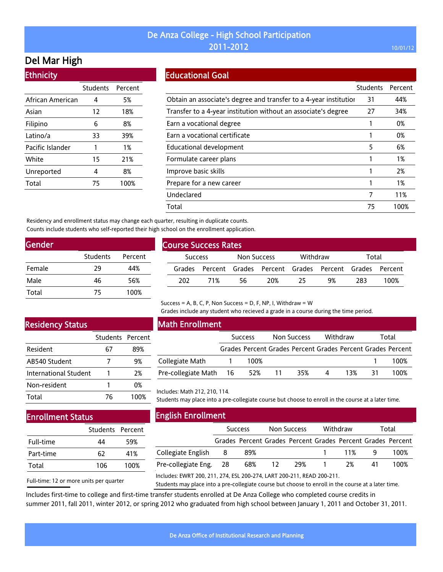## Del Mar High

Ethnicity

| Lunnuly          |                  |      |
|------------------|------------------|------|
|                  | Students Percent |      |
| African American | 4                | 5%   |
| Asian            | 12               | 18%  |
| Filipino         | 6                | 8%   |
| Latino/a         | 33               | 39%  |
| Pacific Islander | 1                | 1%   |
| White            | 15               | 21%  |
| Unreported       | 4                | 8%   |
| Total            | 75               | 100% |
|                  |                  |      |

#### Educational Goal

|                                                                   | Students | Percent |
|-------------------------------------------------------------------|----------|---------|
| Obtain an associate's degree and transfer to a 4-year institution | 31       | 44%     |
| Transfer to a 4-year institution without an associate's degree    | 27       | 34%     |
| Earn a vocational degree                                          |          | 0%      |
| Earn a vocational certificate                                     |          | 0%      |
| Educational development                                           | 5        | 6%      |
| Formulate career plans                                            |          | 1%      |
| Improve basic skills                                              |          | 2%      |
| Prepare for a new career                                          |          | 1%      |
| Undeclared                                                        | 7        | 11%     |
| Total                                                             | 75       | 100%    |

Residency and enrollment status may change each quarter, resulting in duplicate counts. Counts include students who self-reported their high school on the enrollment application.

| Gender |                 |         |
|--------|-----------------|---------|
|        | <b>Students</b> | Percent |
| Female | 29              | 44%     |
| Male   | 46              | 56%     |
| Total  | 75              | 100%    |

| <b>Course Success Rates</b> |     |             |     |                   |                                                             |     |      |  |  |
|-----------------------------|-----|-------------|-----|-------------------|-------------------------------------------------------------|-----|------|--|--|
| <b>Success</b>              |     | Non Success |     | Withdraw<br>Total |                                                             |     |      |  |  |
|                             |     |             |     |                   | Grades Percent Grades Percent Grades Percent Grades Percent |     |      |  |  |
| 202                         | 71% | 56          | 20% | 25                | 9%                                                          | 283 | 100% |  |  |

Success = A, B, C, P, Non Success = D, F, NP, I, Withdraw =  $W$ 

Grades include any student who recieved a grade in a course during the time period.

## Residency Status

|                       | Students Percent |      |
|-----------------------|------------------|------|
| Resident              | 67               | 89%  |
| AB540 Student         |                  | 9%   |
| International Student |                  | 2%   |
| Non-resident          |                  | 0%   |
| Total                 | 76               | 100% |

### Math Enrollment

|                        | <b>Success</b> |      |      | Non Success |   | Withdraw |    | Total                                                       |
|------------------------|----------------|------|------|-------------|---|----------|----|-------------------------------------------------------------|
|                        |                |      |      |             |   |          |    | Grades Percent Grades Percent Grades Percent Grades Percent |
| Collegiate Math        |                | 100% |      |             |   |          |    | 100%                                                        |
| Pre-collegiate Math 16 |                | 52%  | - 11 | 35%         | 4 | 13%      | 31 | 100%                                                        |

#### Includes: Math 212, 210, 114.

Students may place into a pre-collegiate course but choose to enroll in the course at a later time.

## Enrollment Status

|           | Students Percent |      |
|-----------|------------------|------|
| Full-time | ΔΔ               | 59%  |
| Part-time | 62               | 41%  |
| Total     | 106              | 100% |

Full-time: 12 or more units per quarter

English Enrollment

|                        | <b>Success</b> |        | Non Success |  | Withdraw |    | Total                                                       |  |
|------------------------|----------------|--------|-------------|--|----------|----|-------------------------------------------------------------|--|
|                        |                |        |             |  |          |    | Grades Percent Grades Percent Grades Percent Grades Percent |  |
| Collegiate English 8   |                | 89%    |             |  | 11%      |    | 100%                                                        |  |
| Pre-collegiate Eng. 28 |                | 68% 12 | 29%         |  | 2%       | 41 | 100%                                                        |  |

Includes: EWRT 200, 211, 274, ESL 200-274, LART 200-211, READ 200-211.

Students may place into a pre-collegiate course but choose to enroll in the course at a later time.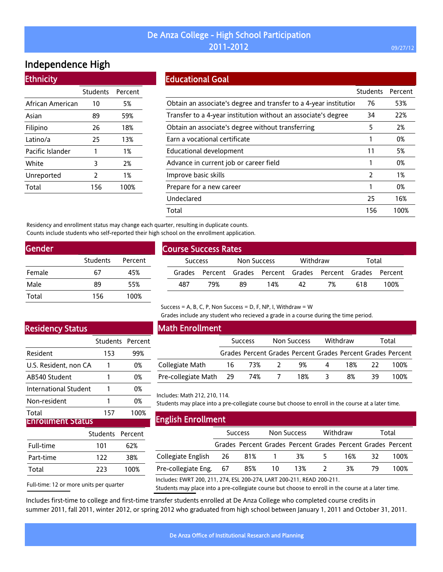## De Anza College - High School Participation **2011-2012 2011-2012 2011-2012**

## Independence High

### **Ethnicity**

| <b>Students</b> | Percent |
|-----------------|---------|
| 10              | 5%      |
| 89              | 59%     |
| 26              | 18%     |
| 25              | 13%     |
| 1               | 1%      |
| 3               | 2%      |
| 2               | 1%      |
| 156             | 100%    |
|                 |         |

### Educational Goal

|                                                                   | <b>Students</b> | Percent |
|-------------------------------------------------------------------|-----------------|---------|
| Obtain an associate's degree and transfer to a 4-year institution | 76              | 53%     |
| Transfer to a 4-year institution without an associate's degree    | 34              | 22%     |
| Obtain an associate's degree without transferring                 | 5               | 2%      |
| Earn a vocational certificate                                     |                 | 0%      |
| Educational development                                           | 11              | 5%      |
| Advance in current job or career field                            |                 | 0%      |
| Improve basic skills                                              | $\overline{2}$  | 1%      |
| Prepare for a new career                                          |                 | 0%      |
| Undeclared                                                        | 25              | 16%     |
| Total                                                             | 156             | 100%    |

Residency and enrollment status may change each quarter, resulting in duplicate counts. Counts include students who self-reported their high school on the enrollment application.

| Gender |                 |         |  |  |  |  |  |  |
|--------|-----------------|---------|--|--|--|--|--|--|
|        | <b>Students</b> | Percent |  |  |  |  |  |  |
| Female | 67              | 45%     |  |  |  |  |  |  |
| Male   | 89              | 55%     |  |  |  |  |  |  |
| Total  | 156             | 100%    |  |  |  |  |  |  |
|        |                 |         |  |  |  |  |  |  |

| <b>Course Success Rates</b> |                |     |    |                         |    |                                                             |     |      |  |
|-----------------------------|----------------|-----|----|-------------------------|----|-------------------------------------------------------------|-----|------|--|
|                             | <b>Success</b> |     |    | Withdraw<br>Non Success |    | Total                                                       |     |      |  |
|                             |                |     |    |                         |    | Grades Percent Grades Percent Grades Percent Grades Percent |     |      |  |
|                             | 487            | 79% | 89 | 14%                     | 42 | 7%                                                          | 618 | 100% |  |
|                             |                |     |    |                         |    |                                                             |     |      |  |

## Residency Status

|                       | Students Percent |      |
|-----------------------|------------------|------|
| Resident              | 153              | 99%  |
| U.S. Resident, non CA |                  | 0%   |
| AB540 Student         | 1                | 0%   |
| International Student |                  | 0%   |
| Non-resident          | 1                | 0%   |
| Total                 | 157              | 100% |
| irollment Status      |                  |      |

|           | Students Percent |      |
|-----------|------------------|------|
| Full-time | 101              | 62%  |
| Part-time | 122              | 38%  |
| Total     | 223              | 100% |

## Math Enrollment

|                        | <b>Success</b> |     | <b>Non Success</b> |     |   | Withdraw |    | Total                                                       |  |
|------------------------|----------------|-----|--------------------|-----|---|----------|----|-------------------------------------------------------------|--|
|                        |                |     |                    |     |   |          |    | Grades Percent Grades Percent Grades Percent Grades Percent |  |
| Collegiate Math        | 16             | 73% |                    | 9%  | 4 | 18%      |    | 100%                                                        |  |
| Pre-collegiate Math 29 |                | 74% |                    | 18% |   | 8%       | 39 | 100%                                                        |  |

Grades include any student who recieved a grade in a course during the time period.

Includes: Math 212, 210, 114.

Students may place into a pre-collegiate course but choose to enroll in the course at a later time.

#### English Enrollment

|                                                                        | <b>Success</b> |       | Non Success |                                                             | Withdraw |     | Total |      |
|------------------------------------------------------------------------|----------------|-------|-------------|-------------------------------------------------------------|----------|-----|-------|------|
|                                                                        |                |       |             | Grades Percent Grades Percent Grades Percent Grades Percent |          |     |       |      |
| Collegiate English 26                                                  |                | 81% 1 |             | 3%                                                          | 5.       | 16% | 32    | 100% |
| Pre-collegiate Eng. 67                                                 |                | 85%   | - 10        | 13%                                                         | - 2      | 3%  | 79    | 100% |
| Includes: EWRT 200, 211, 274, ESL 200-274, LART 200-211, READ 200-211. |                |       |             |                                                             |          |     |       |      |

Full-time: 12 or more units per quarter

Students may place into a pre-collegiate course but choose to enroll in the course at a later time.

Includes first-time to college and first-time transfer students enrolled at De Anza College who completed course credits in summer 2011, fall 2011, winter 2012, or spring 2012 who graduated from high school between January 1, 2011 and October 31, 2011.